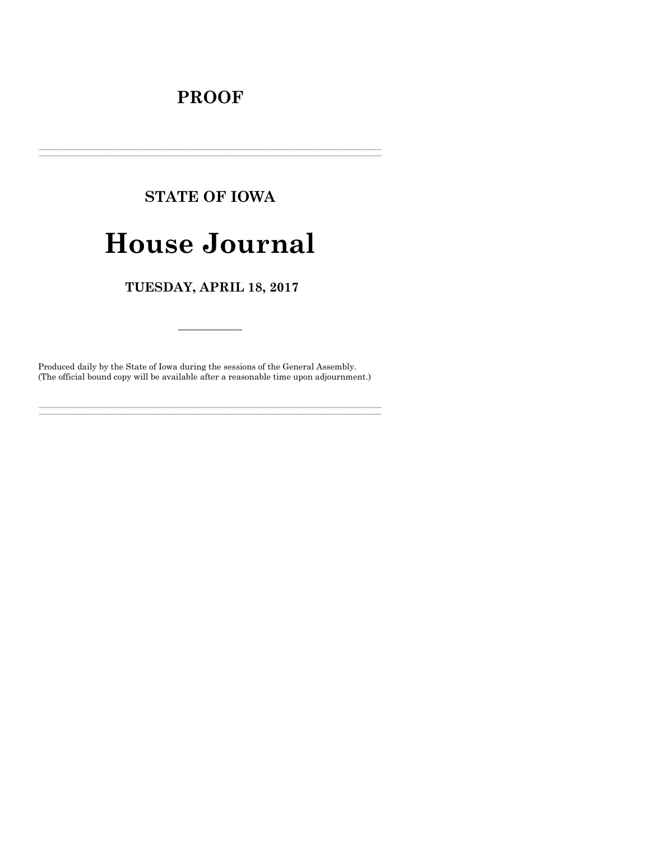# **PROOF**

# **STATE OF IOWA**

# **House Journal**

TUESDAY, APRIL 18, 2017

Produced daily by the State of Iowa during the sessions of the General Assembly. (The official bound copy will be available after a reasonable time upon adjournment.)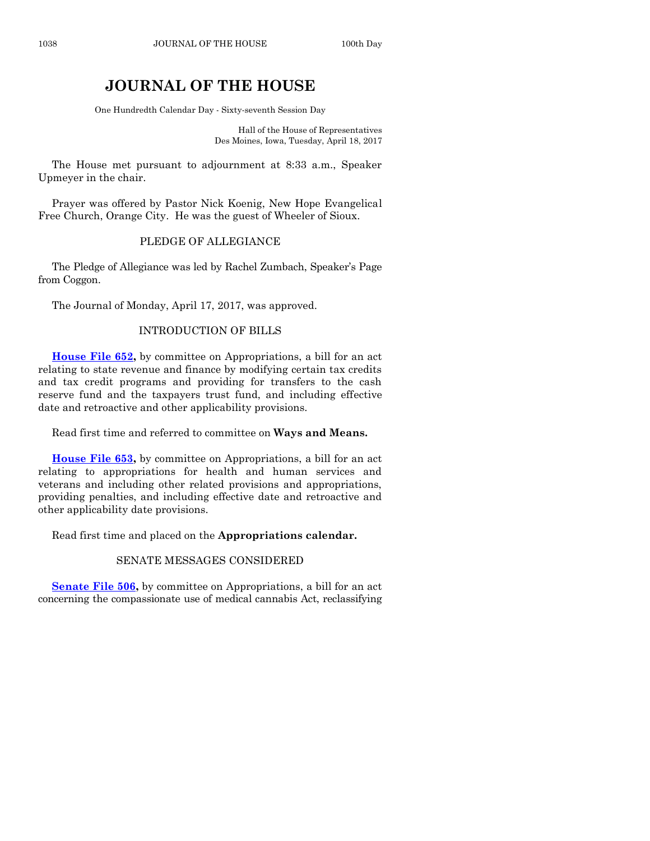# **JOURNAL OF THE HOUSE**

One Hundredth Calendar Day - Sixty-seventh Session Day

Hall of the House of Representatives Des Moines, Iowa, Tuesday, April 18, 2017

The House met pursuant to adjournment at 8:33 a.m., Speaker Upmeyer in the chair.

Prayer was offered by Pastor Nick Koenig, New Hope Evangelical Free Church, Orange City. He was the guest of Wheeler of Sioux.

#### PLEDGE OF ALLEGIANCE

The Pledge of Allegiance was led by Rachel Zumbach, Speaker's Page from Coggon.

The Journal of Monday, April 17, 2017, was approved.

#### INTRODUCTION OF BILLS

**House [File 652,](https://www.legis.iowa.gov/legislation/BillBook?ga=87&ba=HF652)** by committee on Appropriations, a bill for an act relating to state revenue and finance by modifying certain tax credits and tax credit programs and providing for transfers to the cash reserve fund and the taxpayers trust fund, and including effective date and retroactive and other applicability provisions.

Read first time and referred to committee on **Ways and Means.**

**[House File 653,](https://www.legis.iowa.gov/legislation/BillBook?ga=87&ba=HF653)** by committee on Appropriations, a bill for an act relating to appropriations for health and human services and veterans and including other related provisions and appropriations, providing penalties, and including effective date and retroactive and other applicability date provisions.

Read first time and placed on the **Appropriations calendar.**

#### SENATE MESSAGES CONSIDERED

**[Senate File 506,](https://www.legis.iowa.gov/legislation/BillBook?ga=87&ba=SF506)** by committee on Appropriations, a bill for an act concerning the compassionate use of medical cannabis Act, reclassifying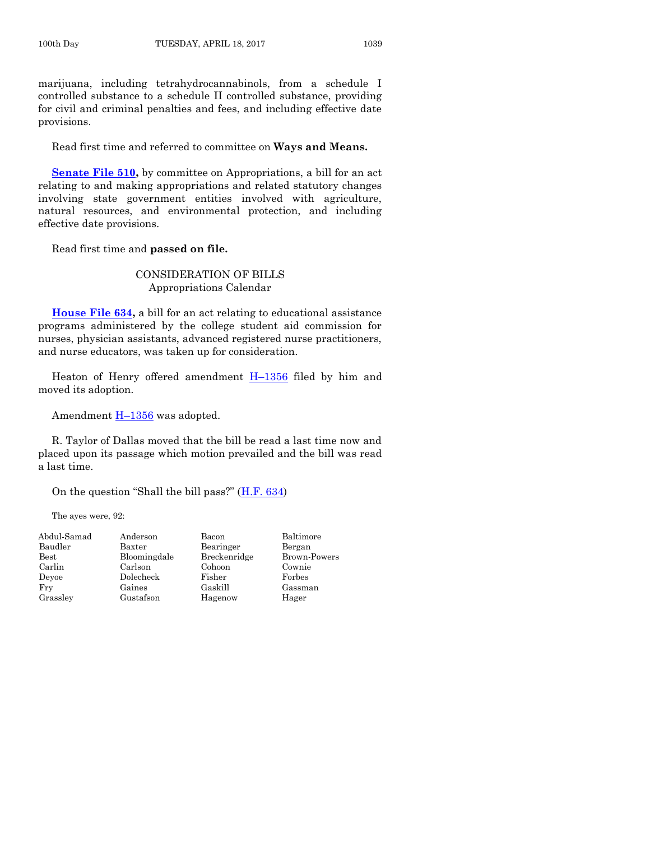marijuana, including tetrahydrocannabinols, from a schedule I controlled substance to a schedule II controlled substance, providing for civil and criminal penalties and fees, and including effective date provisions.

Read first time and referred to committee on **Ways and Means.**

**[Senate File 510,](https://www.legis.iowa.gov/legislation/BillBook?ga=87&ba=SF510)** by committee on Appropriations, a bill for an act relating to and making appropriations and related statutory changes involving state government entities involved with agriculture, natural resources, and environmental protection, and including effective date provisions.

Read first time and **passed on file.**

CONSIDERATION OF BILLS Appropriations Calendar

**[House File 634,](https://www.legis.iowa.gov/legislation/BillBook?ga=87&ba=HF634)** a bill for an act relating to educational assistance programs administered by the college student aid commission for nurses, physician assistants, advanced registered nurse practitioners, and nurse educators, was taken up for consideration.

Heaton of Henry offered amendment  $H-1356$  $H-1356$  filed by him and moved its adoption.

Amendment  $H-1356$  $H-1356$  was adopted.

R. Taylor of Dallas moved that the bill be read a last time now and placed upon its passage which motion prevailed and the bill was read a last time.

On the question "Shall the bill pass?" ([H.F. 634\)](https://www.legis.iowa.gov/legislation/BillBook?ga=87&ba=HF634)

The ayes were, 92:

| Abdul-Samad   | Anderson     | Bacon        | Baltimore    |
|---------------|--------------|--------------|--------------|
| Baudler       | Baxter       | Bearinger    | Bergan       |
| $_{\rm Best}$ | Bloomingdale | Breckenridge | Brown-Powers |
| Carlin        | Carlson      | Cohoon       | Cownie       |
| Devoe         | Dolecheck    | Fisher       | Forbes       |
| Fry           | Gaines       | Gaskill      | Gassman      |
| Grassley      | Gustafson    | Hagenow      | Hager        |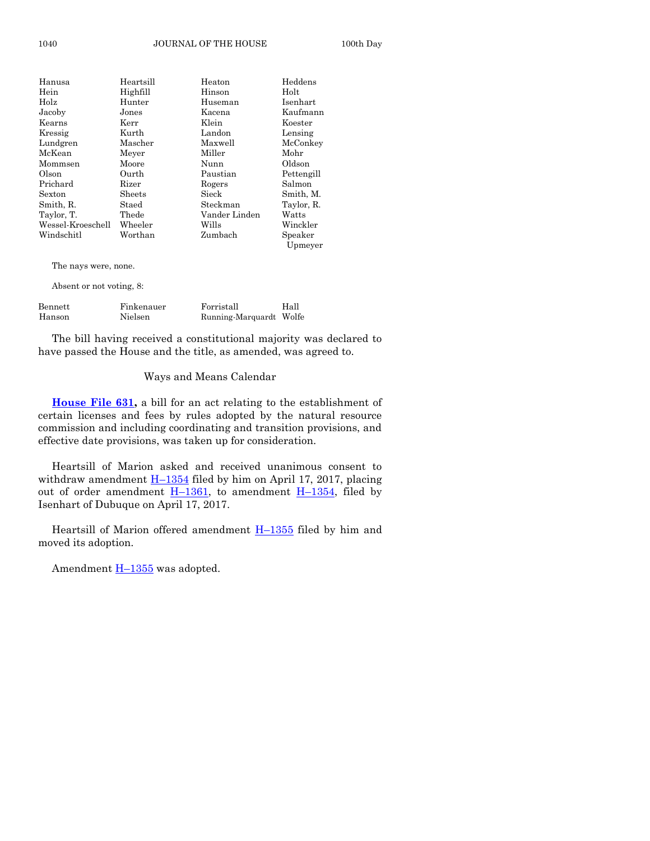| Hanusa            | Heartsill | Heaton        | Heddens            |
|-------------------|-----------|---------------|--------------------|
| Hein              | Highfill  | Hinson        | Holt               |
| Holz              | Hunter    | Huseman       | Isenhart           |
| Jacoby            | Jones     | Kacena        | Kaufmann           |
| Kearns            | Kerr      | Klein         | Koester            |
| Kressig           | Kurth     | Landon        | Lensing            |
| Lundgren          | Mascher   | Maxwell       | McConkey           |
| McKean            | Meyer     | Miller        | Mohr               |
| Mommsen           | Moore     | Nunn          | Oldson             |
| Olson             | Ourth     | Paustian      | Pettengill         |
| Prichard          | Rizer     | Rogers        | Salmon             |
| Sexton            | Sheets    | Sieck         | Smith, M.          |
| Smith, R.         | Staed     | Steckman      | Taylor, R.         |
| Taylor, T.        | Thede     | Vander Linden | Watts              |
| Wessel-Kroeschell | Wheeler   | Wills         | Winckler           |
| Windschitl        | Worthan   | Zumbach       | Speaker<br>Upmeyer |

The nays were, none.

Absent or not voting, 8:

| Bennett | Finkenauer | Forristall              | Hall |
|---------|------------|-------------------------|------|
| Hanson  | Nielsen    | Running-Marquardt Wolfe |      |

The bill having received a constitutional majority was declared to have passed the House and the title, as amended, was agreed to.

#### Ways and Means Calendar

**[House File 631,](https://www.legis.iowa.gov/legislation/BillBook?ga=87&ba=HF631)** a bill for an act relating to the establishment of certain licenses and fees by rules adopted by the natural resource commission and including coordinating and transition provisions, and effective date provisions, was taken up for consideration.

Heartsill of Marion asked and received unanimous consent to withdraw amendment  $H-1354$  $H-1354$  filed by him on April 17, 2017, placing out of order amendment  $H-1361$ , to amendment  $H-1354$ , filed by Isenhart of Dubuque on April 17, 2017.

Heartsill of Marion offered amendment  $H-1355$  $H-1355$  filed by him and moved its adoption.

Amendment  $H-1355$  $H-1355$  was adopted.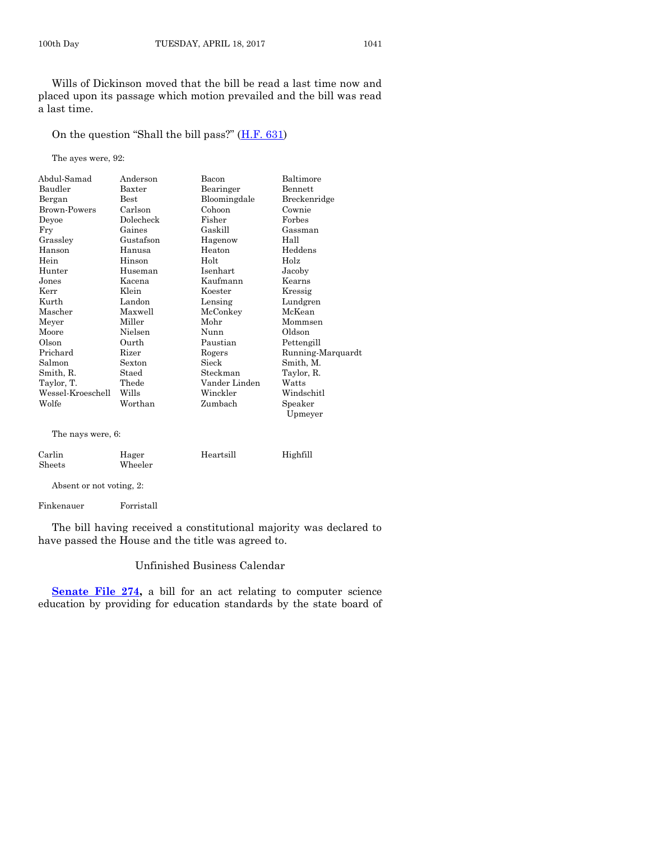Wills of Dickinson moved that the bill be read a last time now and placed upon its passage which motion prevailed and the bill was read a last time.

On the question "Shall the bill pass?" ([H.F. 631\)](https://www.legis.iowa.gov/legislation/BillBook?ga=87&ba=HF631)

The ayes were, 92:

| Abdul-Samad       | Anderson      | Bacon         | Baltimore         |
|-------------------|---------------|---------------|-------------------|
| Baudler           | Baxter        | Bearinger     | Bennett           |
| Bergan            | $_{\rm Best}$ | Bloomingdale  | Breckenridge      |
| Brown-Powers      | Carlson       | Cohoon        | Cownie            |
| Deyoe             | Dolecheck     | Fisher        | Forbes            |
| Fry               | Gaines        | Gaskill       | Gassman           |
| Grassley          | Gustafson     | Hagenow       | Hall              |
| Hanson            | Hanusa        | Heaton        | Heddens           |
| Hein              | Hinson        | Holt          | Holz              |
| Hunter            | Huseman       | Isenhart      | Jacoby            |
| Jones             | Kacena        | Kaufmann      | Kearns            |
| Kerr              | Klein         | Koester       | Kressig           |
| Kurth             | Landon        | Lensing       | Lundgren          |
| Mascher           | Maxwell       | McConkey      | McKean            |
| Meyer             | Miller        | Mohr          | Mommsen           |
| Moore             | Nielsen       | Nunn          | Oldson            |
| Olson             | Ourth         | Paustian      | Pettengill        |
| Prichard          | Rizer         | Rogers        | Running-Marquardt |
| Salmon            | Sexton        | Sieck         | Smith. M.         |
| Smith, R.         | Staed         | Steckman      | Taylor, R.        |
| Taylor, T.        | Thede         | Vander Linden | Watts             |
| Wessel-Kroeschell | Wills         | Winckler      | Windschitl        |
| Wolfe             | Worthan       | Zumbach       | Speaker           |
|                   |               |               | Upmeyer           |
| The nays were, 6: |               |               |                   |
| Carlin            | Hager         | Heartsill     | Highfill          |
| Sheets            | Wheeler       |               |                   |

Absent or not voting, 2:

Finkenauer Forristall

The bill having received a constitutional majority was declared to have passed the House and the title was agreed to.

#### Unfinished Business Calendar

**[Senate File 274,](https://www.legis.iowa.gov/legislation/BillBook?ga=87&ba=SF274)** a bill for an act relating to computer science education by providing for education standards by the state board of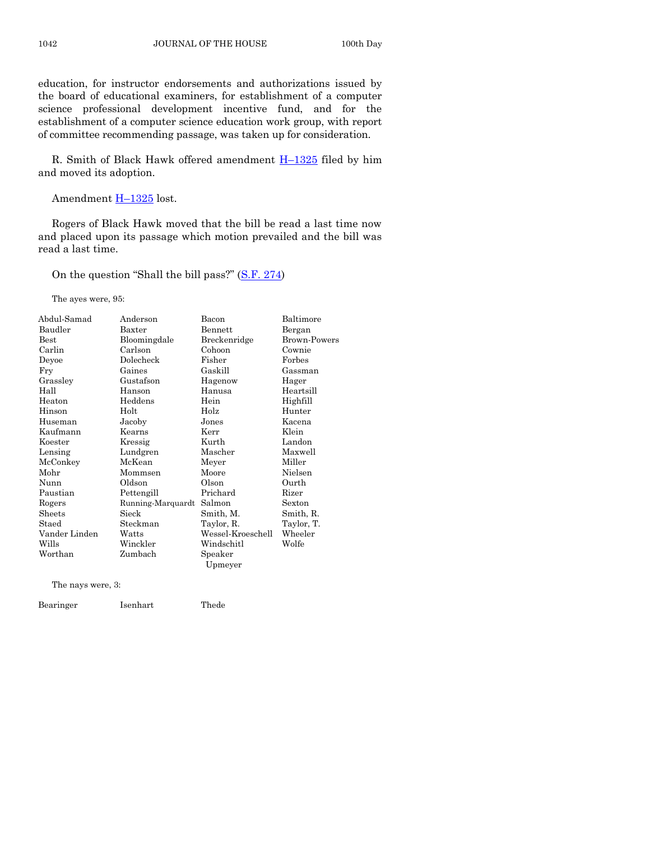education, for instructor endorsements and authorizations issued by the board of educational examiners, for establishment of a computer science professional development incentive fund, and for the establishment of a computer science education work group, with report of committee recommending passage, was taken up for consideration.

R. Smith of Black Hawk offered amendment H–[1325](https://www.legis.iowa.gov/legislation/BillBook?ga=87&ba=H1325) filed by him and moved its adoption.

Amendment H-[1325](https://www.legis.iowa.gov/legislation/BillBook?ga=87&ba=H1325) lost.

Rogers of Black Hawk moved that the bill be read a last time now and placed upon its passage which motion prevailed and the bill was read a last time.

On the question "Shall the bill pass?" ([S.F. 274\)](https://www.legis.iowa.gov/legislation/BillBook?ga=87&ba=SF274)

The ayes were, 95:

| Abdul-Samad   | Anderson          | Bacon             | Baltimore      |
|---------------|-------------------|-------------------|----------------|
| Baudler       | $B$ axter         | <b>Bennett</b>    | Bergan         |
| Best          | Bloomingdale      | Breckenridge      | Brown-Powers   |
| Carlin        | Carlson           | Cohoon            | Cownie         |
| Deyoe         | Dolecheck         | Fisher            | Forbes         |
| Fry           | Gaines            | Gaskill           | Gassman        |
| Grassley      | Gustafson         | Hagenow           | Hager          |
| Hall          | Hanson            | Hanusa            | Heartsill      |
| Heaton        | Heddens           | Hein              | Highfill       |
| Hinson        | Holt              | Holz              | Hunter         |
| Huseman       | Jacoby            | Jones             | Kacena         |
| Kaufmann      | Kearns            | Kerr              | Klein          |
| Koester       | Kressig           | Kurth             | Landon         |
| Lensing       | Lundgren          | Mascher           | Maxwell        |
| McConkey      | McKean            | Meyer             | Miller         |
| Mohr          | Mommsen           | Moore             | Nielsen        |
| Nunn          | Oldson            | Olson             | Ourth          |
| Paustian      | Pettengill        | Prichard          | Rizer          |
| Rogers        | Running-Marquardt | Salmon            | Sexton         |
| Sheets        | Sieck             | Smith, M.         | Smith, R.      |
| Staed         | Steckman          | Taylor, R.        | Taylor, T.     |
| Vander Linden | Watts             | Wessel-Kroeschell | $\rm{Wheeler}$ |
| Wills         | Winckler          | Windschitl        | Wolfe          |
| Worthan       | Zumbach           | Speaker           |                |
|               |                   | Upmeyer           |                |
|               |                   |                   |                |

The nays were, 3:

Bearinger Isenhart Thede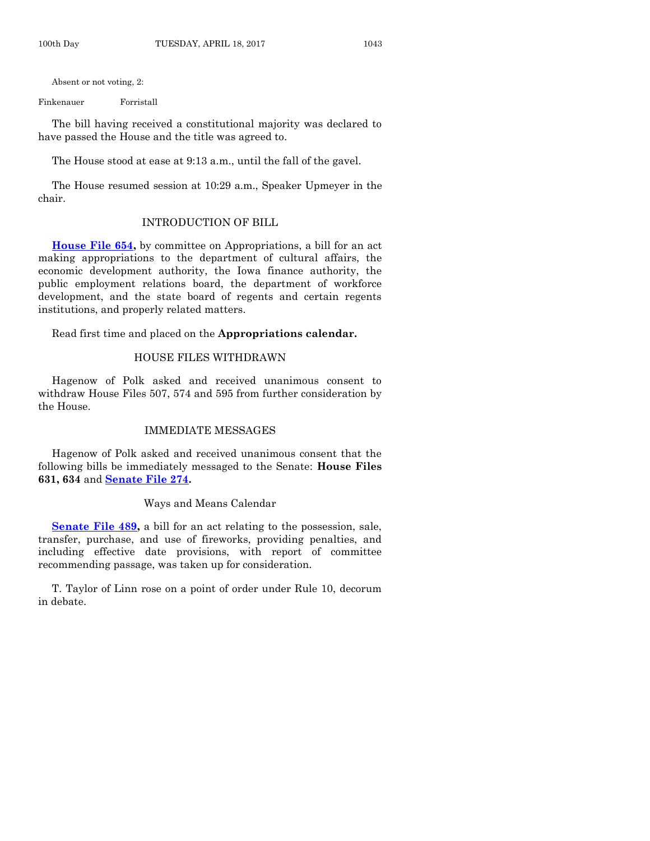Absent or not voting, 2:

Finkenauer Forristall

The bill having received a constitutional majority was declared to have passed the House and the title was agreed to.

The House stood at ease at 9:13 a.m., until the fall of the gavel.

The House resumed session at 10:29 a.m., Speaker Upmeyer in the chair.

#### INTRODUCTION OF BILL

**[House File 654,](https://www.legis.iowa.gov/legislation/BillBook?ga=87&ba=HF654)** by committee on Appropriations, a bill for an act making appropriations to the department of cultural affairs, the economic development authority, the Iowa finance authority, the public employment relations board, the department of workforce development, and the state board of regents and certain regents institutions, and properly related matters.

Read first time and placed on the **Appropriations calendar.**

#### HOUSE FILES WITHDRAWN

Hagenow of Polk asked and received unanimous consent to withdraw House Files 507, 574 and 595 from further consideration by the House.

#### IMMEDIATE MESSAGES

Hagenow of Polk asked and received unanimous consent that the following bills be immediately messaged to the Senate: **House Files 631, 634** and **[Senate File 274.](https://www.legis.iowa.gov/legislation/BillBook?ga=87&ba=SF274)**

#### Ways and Means Calendar

**Senate File 489**, a bill for an act relating to the possession, sale, transfer, purchase, and use of fireworks, providing penalties, and including effective date provisions, with report of committee recommending passage, was taken up for consideration.

T. Taylor of Linn rose on a point of order under Rule 10, decorum in debate.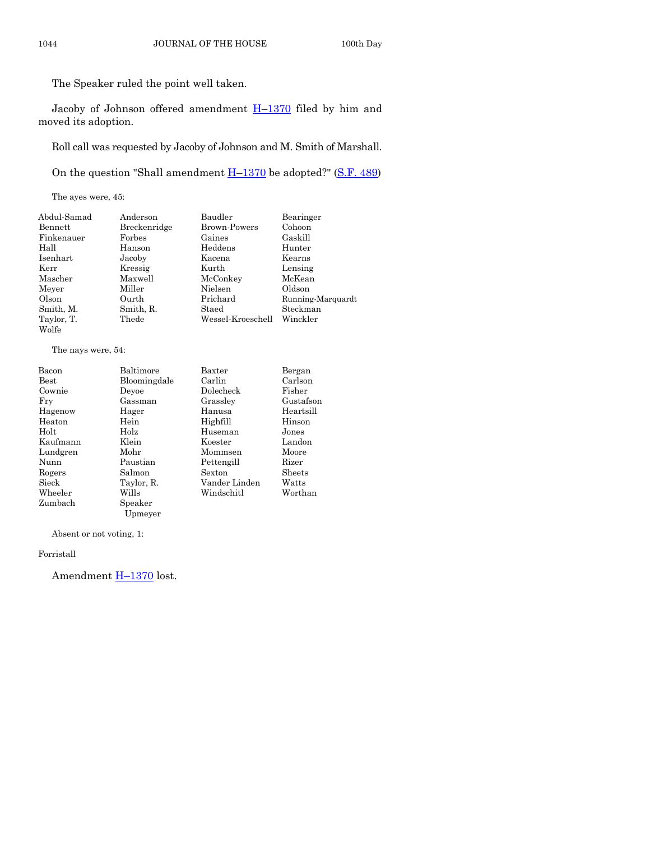The Speaker ruled the point well taken.

Jacoby of Johnson offered amendment H–[1370](https://www.legis.iowa.gov/legislation/BillBook?ga=87&ba=H1370) filed by him and moved its adoption.

Roll call was requested by Jacoby of Johnson and M. Smith of Marshall.

On the question "Shall amendment  $H-1370$  $H-1370$  be adopted?" [\(S.F. 489\)](https://www.legis.iowa.gov/legislation/BillBook?ga=87&ba=SF489)

The ayes were, 45:

| Abdul-Samad | Anderson     | Baudler             | Bearinger         |
|-------------|--------------|---------------------|-------------------|
| Bennett     | Breckenridge | <b>Brown-Powers</b> | Cohoon            |
| Finkenauer  | Forbes       | Gaines              | Gaskill           |
| Hall        | Hanson       | Heddens             | Hunter            |
| Isenhart    | Jacoby       | Kacena              | Kearns            |
| Kerr        | Kressig      | Kurth               | Lensing           |
| Mascher     | Maxwell      | McConkey            | McKean            |
| Meyer       | Miller       | Nielsen             | Oldson            |
| Olson       | Ourth        | Prichard            | Running-Marquardt |
| Smith, M.   | Smith, R.    | Staed               | Steckman          |
| Taylor, T.  | Thede        | Wessel-Kroeschell   | Winckler          |
| Wolfe       |              |                     |                   |

The nays were, 54:

| Bacon         | Baltimore    | Baxter        | Bergan    |
|---------------|--------------|---------------|-----------|
| $_{\rm Best}$ | Bloomingdale | Carlin        | Carlson   |
| Cownie        | Devoe        | Dolecheck     | Fisher    |
| Fry           | Gassman      | Grasslev      | Gustafson |
| Hagenow       | Hager        | Hanusa        | Heartsill |
| Heaton        | Hein         | Highfill      | Hinson    |
| Holt          | Holz         | Huseman       | Jones     |
| Kaufmann      | Klein        | Koester       | Landon    |
| Lundgren      | Mohr         | Mommsen       | Moore     |
| Nunn          | Paustian     | Pettengill    | Rizer     |
| Rogers        | Salmon       | Sexton        | Sheets    |
| Sieck         | Taylor, R.   | Vander Linden | Watts     |
| Wheeler       | Wills        | Windschitl    | Worthan   |
| Zumbach       | Speaker      |               |           |
|               | Upmeyer      |               |           |

Absent or not voting, 1:

Forristall

Amendment **H**-[1370](https://www.legis.iowa.gov/legislation/BillBook?ga=87&ba=H1370) lost.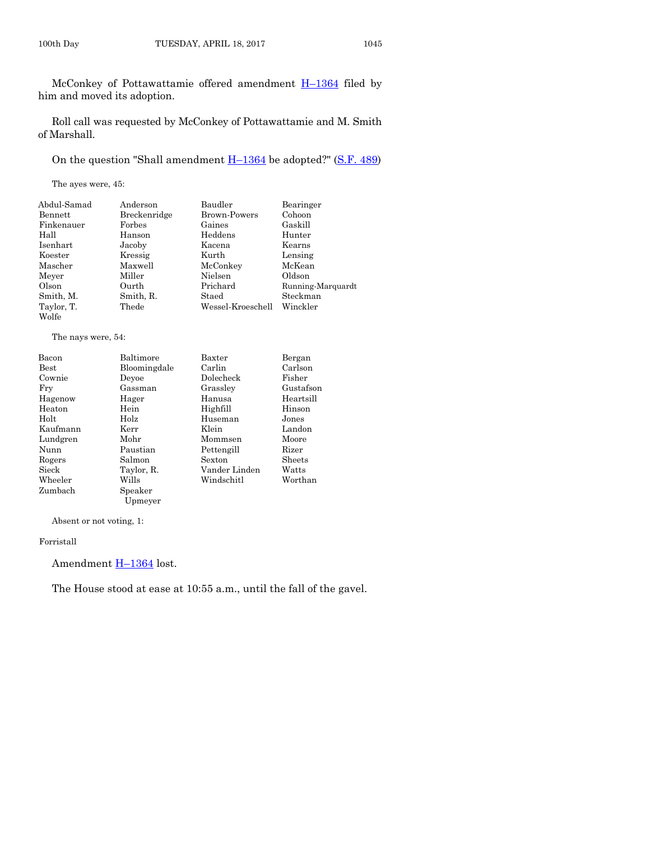McConkey of Pottawattamie offered amendment H–[1364](https://www.legis.iowa.gov/legislation/BillBook?ga=87&ba=H1364) filed by him and moved its adoption.

Roll call was requested by McConkey of Pottawattamie and M. Smith of Marshall.

On the question "Shall amendment  $H-1364$  $H-1364$  be adopted?" [\(S.F. 489\)](https://www.legis.iowa.gov/legislation/BillBook?ga=87&ba=SF489)

The ayes were, 45:

| Abdul-Samad | Anderson     | Baudler           | Bearinger         |
|-------------|--------------|-------------------|-------------------|
| Bennett     | Breckenridge | Brown-Powers      | Cohoon            |
| Finkenauer  | Forbes       | Gaines            | Gaskill           |
| Hall        | Hanson       | Heddens           | Hunter            |
| Isenhart    | Jacoby       | Kacena            | Kearns            |
| Koester     | Kressig      | Kurth             | Lensing           |
| Mascher     | Maxwell      | McConkey          | McKean            |
| Meyer       | Miller       | Nielsen           | Oldson            |
| Olson       | Ourth        | Prichard          | Running-Marquardt |
| Smith, M.   | Smith, R.    | Staed             | Steckman          |
| Taylor, T.  | Thede        | Wessel-Kroeschell | Winckler          |
| Wolfe       |              |                   |                   |

The nays were, 54:

| Bacon         | Baltimore    | Baxter        | Bergan    |
|---------------|--------------|---------------|-----------|
| $_{\rm Best}$ | Bloomingdale | Carlin        | Carlson   |
| Cownie        | Devoe        | Dolecheck     | Fisher    |
| Frv           | Gassman      | Grassley      | Gustafson |
| Hagenow       | Hager        | Hanusa        | Heartsill |
| Heaton        | Hein         | Highfill      | Hinson    |
| Holt          | Holz         | Huseman       | Jones     |
| Kaufmann      | Kerr         | Klein         | Landon    |
| Lundgren      | Mohr         | Mommsen       | Moore     |
| Nunn          | Paustian     | Pettengill    | Rizer     |
| Rogers        | Salmon       | Sexton        | Sheets    |
| Sieck         | Taylor, R.   | Vander Linden | Watts     |
| Wheeler       | Wills        | Windschitl    | Worthan   |
| Zumbach       | Speaker      |               |           |

Absent or not voting, 1:

Forristall

Amendment **H**-[1364](https://www.legis.iowa.gov/legislation/BillBook?ga=87&ba=H1364) lost.

Upmeyer

The House stood at ease at 10:55 a.m., until the fall of the gavel.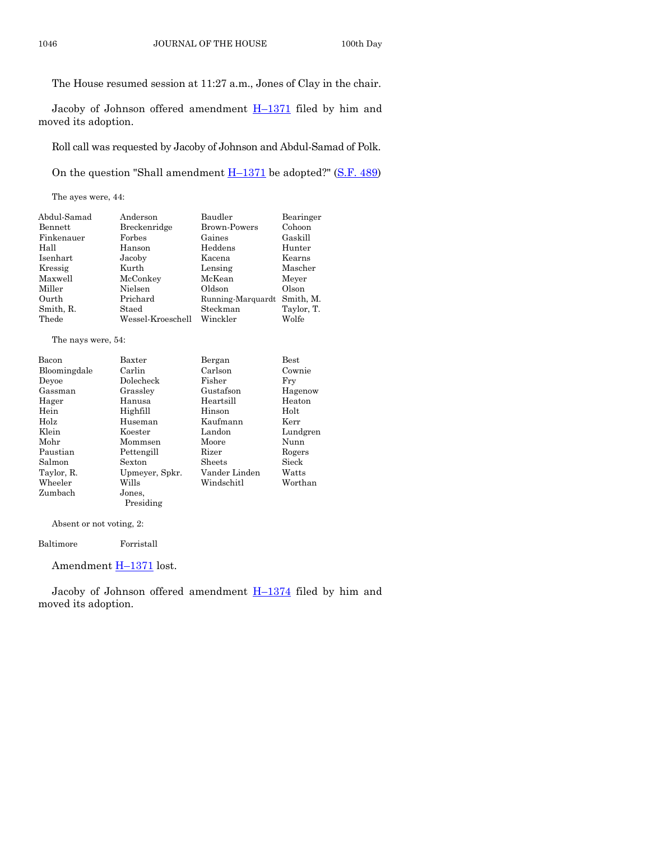The House resumed session at 11:27 a.m., Jones of Clay in the chair.

Jacoby of Johnson offered amendment  $H-1371$  $H-1371$  filed by him and moved its adoption.

Roll call was requested by Jacoby of Johnson and Abdul-Samad of Polk.

On the question "Shall amendment  $H-1371$  $H-1371$  be adopted?" [\(S.F. 489\)](https://www.legis.iowa.gov/legislation/BillBook?ga=87&ba=SF489)

The ayes were, 44:

| Abdul-Samad | Anderson          | Baudler                     | Bearinger  |
|-------------|-------------------|-----------------------------|------------|
| Bennett     | Breckenridge      | <b>Brown-Powers</b>         | Cohoon     |
| Finkenauer  | Forbes            | Gaines                      | Gaskill    |
| Hall        | Hanson            | Heddens                     | Hunter     |
| Isenhart    | Jacoby            | Kacena                      | Kearns     |
| Kressig     | Kurth             | Lensing                     | Mascher    |
| Maxwell     | McConkey          | McKean                      | Meyer      |
| Miller      | Nielsen           | Oldson                      | Olson      |
| Ourth       | Prichard          | Running-Marquardt Smith, M. |            |
| Smith, R.   | Staed             | Steckman                    | Taylor, T. |
| Thede       | Wessel-Kroeschell | Winckler                    | Wolfe      |

The nays were, 54:

| Bacon        | Baxter         | Bergan        | <b>Best</b> |
|--------------|----------------|---------------|-------------|
| Bloomingdale | Carlin         | Carlson       | Cownie      |
| Devoe        | Dolecheck      | Fisher        | Fry         |
| Gassman      | Grassley       | Gustafson     | Hagenow     |
| Hager        | Hanusa         | Heartsill     | Heaton      |
| Hein         | Highfill       | Hinson        | Holt        |
| Holz         | Huseman        | Kaufmann      | Kerr        |
| Klein        | Koester        | Landon        | Lundgren    |
| Mohr         | Mommsen        | Moore         | Nunn        |
| Paustian     | Pettengill     | Rizer         | Rogers      |
| Salmon       | Sexton         | Sheets        | Sieck       |
| Taylor, R.   | Upmeyer, Spkr. | Vander Linden | Watts       |
| Wheeler      | Wills          | Windschitl    | Worthan     |
| Zumbach      | Jones.         |               |             |
|              | Presiding      |               |             |

Absent or not voting, 2:

Baltimore Forristall

Amendment **H**-[1371](https://www.legis.iowa.gov/legislation/BillBook?ga=87&ba=H1371) lost.

Jacoby of Johnson offered amendment  $H-1374$  $H-1374$  filed by him and moved its adoption.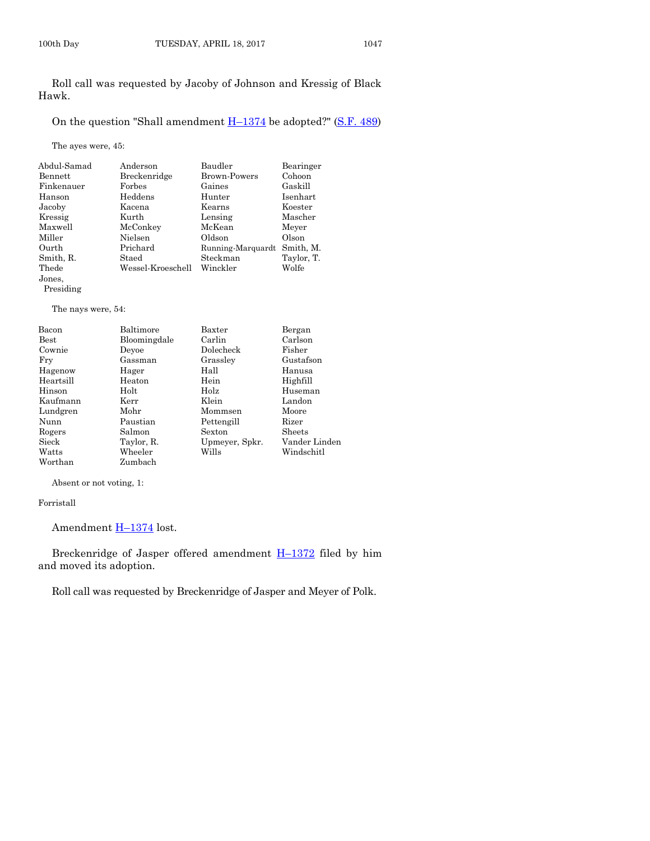Roll call was requested by Jacoby of Johnson and Kressig of Black Hawk.

On the question "Shall amendment  $H-1374$  $H-1374$  be adopted?" [\(S.F. 489\)](https://www.legis.iowa.gov/legislation/BillBook?ga=87&ba=SF489)

The ayes were, 45:

| Abdul-Samad | Anderson          | Baudler             | Bearinger  |
|-------------|-------------------|---------------------|------------|
| Bennett     | Breckenridge      | <b>Brown-Powers</b> | Cohoon     |
| Finkenauer  | Forbes            | Gaines              | Gaskill    |
| Hanson      | Heddens           | Hunter              | Isenhart   |
| Jacoby      | Kacena            | Kearns              | Koester    |
| Kressig     | Kurth             | Lensing             | Mascher    |
| Maxwell     | McConkey          | McKean              | Meyer      |
| Miller      | Nielsen           | Oldson              | Olson      |
| Ourth       | Prichard          | Running-Marquardt   | Smith, M.  |
| Smith, R.   | Staed             | Steckman            | Taylor, T. |
| Thede       | Wessel-Kroeschell | Winckler            | Wolfe      |
| Jones,      |                   |                     |            |

Presiding

The nays were, 54:

| Bacon         | Baltimore    | Baxter         | Bergan        |
|---------------|--------------|----------------|---------------|
| $_{\rm Best}$ | Bloomingdale | Carlin         | Carlson       |
| Cownie        | Devoe        | Dolecheck      | Fisher        |
| Fry           | Gassman      | Grassley       | Gustafson     |
| Hagenow       | Hager        | Hall           | Hanusa        |
| Heartsill     | Heaton       | Hein           | Highfill      |
| Hinson        | Holt         | Holz           | Huseman       |
| Kaufmann      | Kerr         | Klein          | Landon        |
| Lundgren      | Mohr         | Mommsen        | Moore         |
| Nunn          | Paustian     | Pettengill     | Rizer         |
| Rogers        | Salmon       | Sexton         | Sheets        |
| Sieck         | Taylor, R.   | Upmeyer, Spkr. | Vander Linden |
| Watts         | Wheeler      | Wills          | Windschitl    |
| Worthan       | Zumbach      |                |               |

Absent or not voting, 1:

Forristall

Amendment **H**-[1374](https://www.legis.iowa.gov/legislation/BillBook?ga=87&ba=H1374) lost.

Breckenridge of Jasper offered amendment H–[1372](https://www.legis.iowa.gov/legislation/BillBook?ga=87&ba=H1372) filed by him and moved its adoption.

Roll call was requested by Breckenridge of Jasper and Meyer of Polk.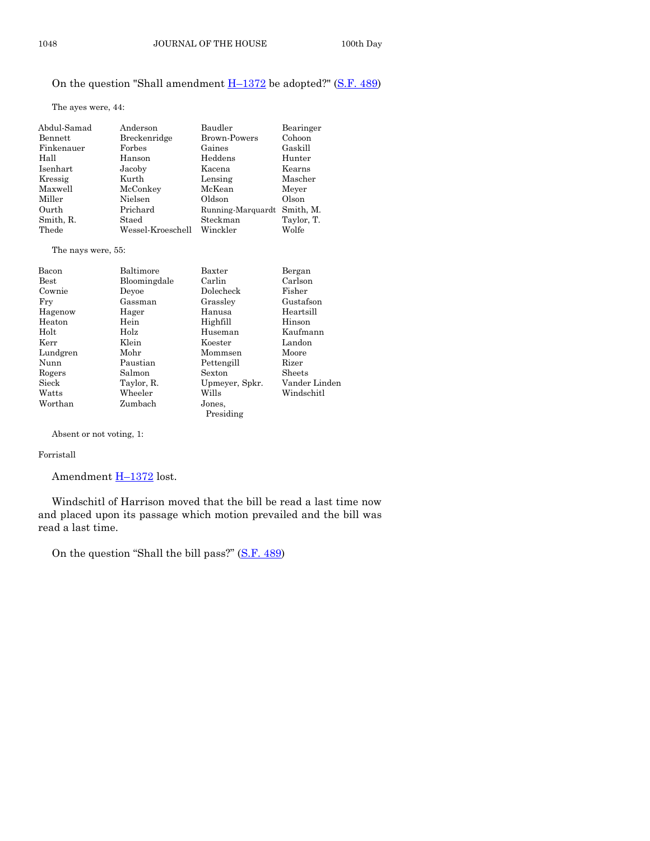## On the question "Shall amendment  $H-1372$  $H-1372$  be adopted?" [\(S.F. 489\)](https://www.legis.iowa.gov/legislation/BillBook?ga=87&ba=SF489)

The ayes were, 44:

| Abdul-Samad | Anderson          | Baudler             | Bearinger  |
|-------------|-------------------|---------------------|------------|
| Bennett     | Breckenridge      | <b>Brown-Powers</b> | Cohoon     |
| Finkenauer  | Forbes            | Gaines              | Gaskill    |
| Hall        | Hanson            | Heddens             | Hunter     |
| Isenhart    | Jacoby            | Kacena              | Kearns     |
| Kressig     | Kurth             | Lensing             | Mascher    |
| Maxwell     | McConkey          | McKean              | Meyer      |
| Miller      | Nielsen           | Oldson              | Olson      |
| Ourth       | Prichard          | Running-Marquardt   | Smith, M.  |
| Smith, R.   | Staed             | Steckman            | Taylor, T. |
| Thede       | Wessel-Kroeschell | Winckler            | Wolfe      |
|             |                   |                     |            |

The nays were, 55:

| Bacon    | Baltimore    | Baxter         | Bergan        |
|----------|--------------|----------------|---------------|
| Best     | Bloomingdale | Carlin         | Carlson       |
| Cownie   | Devoe        | Dolecheck      | Fisher        |
| Fry      | Gassman      | Grassley       | Gustafson     |
| Hagenow  | Hager        | Hanusa         | Heartsill     |
| Heaton   | Hein         | Highfill       | Hinson        |
| Holt     | Holz         | Huseman        | Kaufmann      |
| Kerr     | Klein        | Koester        | Landon        |
| Lundgren | Mohr         | Mommsen        | Moore         |
| Nunn     | Paustian     | Pettengill     | Rizer         |
| Rogers   | Salmon       | Sexton         | <b>Sheets</b> |
| Sieck    | Taylor, R.   | Upmeyer, Spkr. | Vander Linden |
| Watts    | Wheeler      | Wills          | Windschitl    |
| Worthan  | Zumbach      | Jones,         |               |
|          |              | Presiding      |               |

Absent or not voting, 1:

#### Forristall

Amendment **H-[1372](https://www.legis.iowa.gov/legislation/BillBook?ga=87&ba=H1372)** lost.

Windschitl of Harrison moved that the bill be read a last time now and placed upon its passage which motion prevailed and the bill was read a last time.

On the question "Shall the bill pass?" ([S.F. 489\)](https://www.legis.iowa.gov/legislation/BillBook?ga=87&ba=SF489)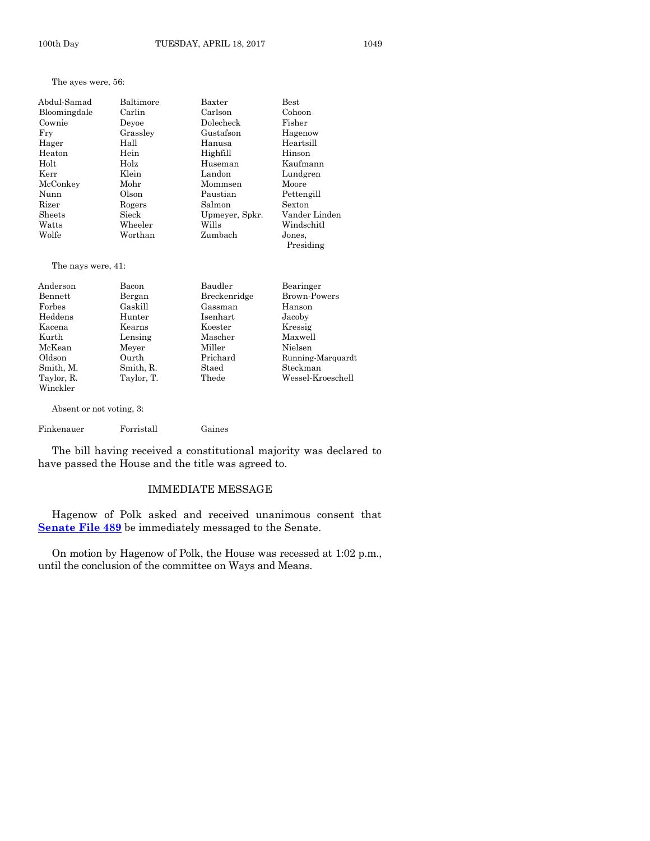The ayes were, 56:

| Baltimore | Baxter         | Best                |
|-----------|----------------|---------------------|
| Carlin    | Carlson        | Cohoon              |
| Devoe     | Dolecheck      | Fisher              |
| Grassley  | Gustafson      | Hagenow             |
| Hall      | Hanusa         | Heartsill           |
| Hein      | Highfill       | Hinson              |
| Holz      | Huseman        | Kaufmann            |
| Klein     | Landon         | Lundgren            |
| Mohr      | Mommsen        | Moore               |
| Olson     | Paustian       | Pettengill          |
| Rogers    | Salmon         | Sexton              |
| Sieck     | Upmeyer, Spkr. | Vander Linden       |
| Wheeler   | Wills          | Windschitl          |
| Worthan   | Zumbach        | Jones.<br>Presiding |
|           |                |                     |

The nays were, 41:

| Anderson   | Bacon      | Baudler      | Bearinger           |
|------------|------------|--------------|---------------------|
| Bennett    | Bergan     | Breckenridge | <b>Brown-Powers</b> |
| Forbes     | Gaskill    | Gassman      | Hanson              |
| Heddens    | Hunter     | Isenhart     | Jacoby              |
| Kacena     | Kearns     | Koester      | Kressig             |
| Kurth      | Lensing    | Mascher      | Maxwell             |
| McKean     | Meyer      | Miller       | Nielsen             |
| Oldson     | Ourth      | Prichard     | Running-Marquardt   |
| Smith, M.  | Smith, R.  | Staed        | Steckman            |
| Taylor, R. | Taylor, T. | Thede        | Wessel-Kroeschell   |
| Winckler   |            |              |                     |

Absent or not voting, 3:

Finkenauer Forristall Gaines

The bill having received a constitutional majority was declared to have passed the House and the title was agreed to.

#### IMMEDIATE MESSAGE

Hagenow of Polk asked and received unanimous consent that **Senate [File 489](https://www.legis.iowa.gov/legislation/BillBook?ga=87&ba=SF489)** be immediately messaged to the Senate.

On motion by Hagenow of Polk, the House was recessed at 1:02 p.m., until the conclusion of the committee on Ways and Means.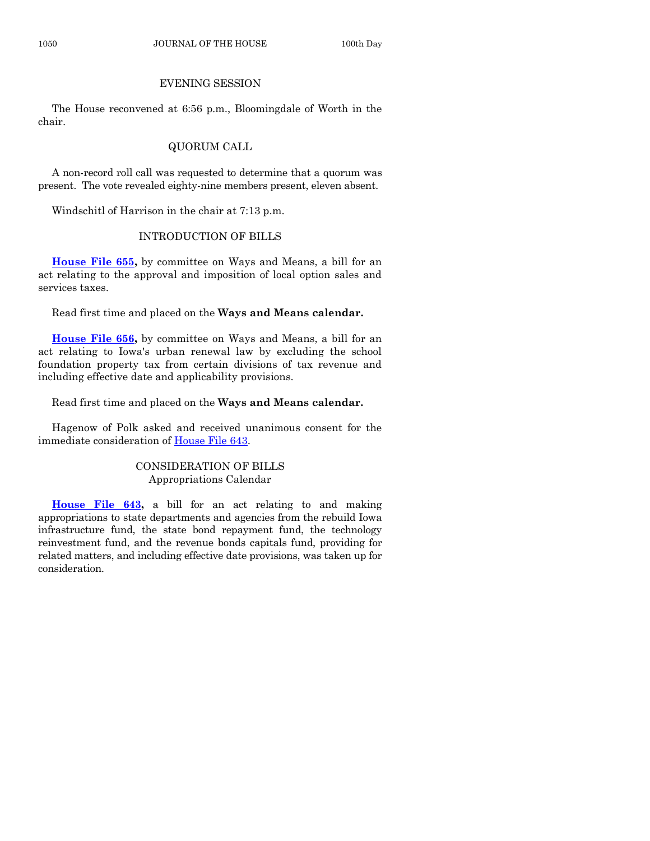#### EVENING SESSION

The House reconvened at 6:56 p.m., Bloomingdale of Worth in the chair.

# QUORUM CALL

A non-record roll call was requested to determine that a quorum was present. The vote revealed eighty-nine members present, eleven absent.

Windschitl of Harrison in the chair at 7:13 p.m.

# INTRODUCTION OF BILLS

**[House File 655,](https://www.legis.iowa.gov/legislation/BillBook?ga=87&ba=HF655)** by committee on Ways and Means, a bill for an act relating to the approval and imposition of local option sales and services taxes.

Read first time and placed on the **Ways and Means calendar.**

**[House File 656,](https://www.legis.iowa.gov/legislation/BillBook?ga=87&ba=HF656)** by committee on Ways and Means, a bill for an act relating to Iowa's urban renewal law by excluding the school foundation property tax from certain divisions of tax revenue and including effective date and applicability provisions.

Read first time and placed on the **Ways and Means calendar.**

Hagenow of Polk asked and received unanimous consent for the immediate consideration of [House File 643.](https://www.legis.iowa.gov/legislation/BillBook?ga=87&ba=HF643)

### CONSIDERATION OF BILLS Appropriations Calendar

**[House File 643,](https://www.legis.iowa.gov/legislation/BillBook?ga=87&ba=HF643)** a bill for an act relating to and making appropriations to state departments and agencies from the rebuild Iowa infrastructure fund, the state bond repayment fund, the technology reinvestment fund, and the revenue bonds capitals fund, providing for related matters, and including effective date provisions, was taken up for consideration.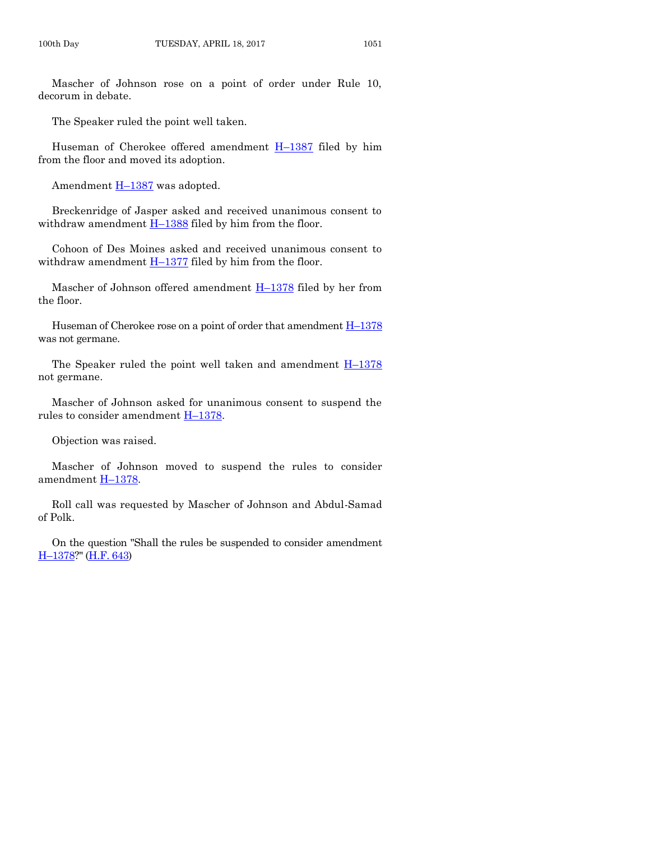Mascher of Johnson rose on a point of order under Rule 10, decorum in debate.

The Speaker ruled the point well taken.

Huseman of Cherokee offered amendment H–[1387](https://www.legis.iowa.gov/legislation/BillBook?ga=87&ba=H1387) filed by him from the floor and moved its adoption.

Amendment **H**-[1387](https://www.legis.iowa.gov/legislation/BillBook?ga=87&ba=H1387) was adopted.

Breckenridge of Jasper asked and received unanimous consent to withdraw amendment H–[1388](https://www.legis.iowa.gov/legislation/BillBook?ga=87&ba=H1388) filed by him from the floor.

Cohoon of Des Moines asked and received unanimous consent to withdraw amendment  $H-1377$  $H-1377$  filed by him from the floor.

Mascher of Johnson offered amendment H–[1378](https://www.legis.iowa.gov/legislation/BillBook?ga=87&ba=H1378) filed by her from the floor.

Huseman of Cherokee rose on a point of order that amendment  $H-1378$  $H-1378$ was not germane.

The Speaker ruled the point well taken and amendment  $H-1378$  $H-1378$ not germane.

Mascher of Johnson asked for unanimous consent to suspend the rules to consider amendment H–[1378.](https://www.legis.iowa.gov/legislation/BillBook?ga=87&ba=H1378)

Objection was raised.

Mascher of Johnson moved to suspend the rules to consider amendment H–[1378.](https://www.legis.iowa.gov/legislation/BillBook?ga=87&ba=H1378)

Roll call was requested by Mascher of Johnson and Abdul-Samad of Polk.

On the question "Shall the rules be suspended to consider amendment H–[1378?](https://www.legis.iowa.gov/legislation/BillBook?ga=87&ba=H1378)" [\(H.F. 643\)](https://www.legis.iowa.gov/legislation/BillBook?ga=87&ba=HF643)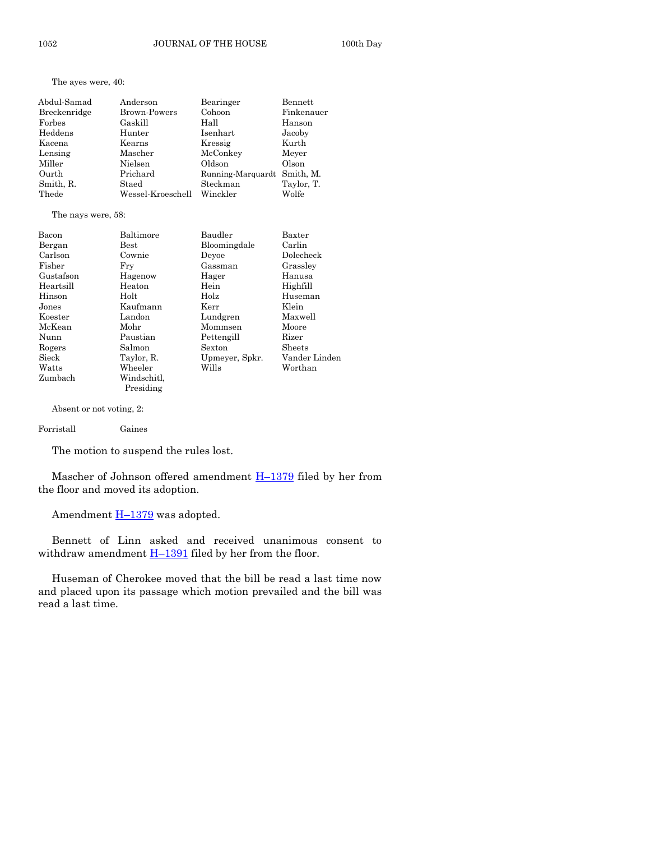The ayes were, 40:

| Abdul-Samad  | Anderson            | Bearinger         | <b>Bennett</b> |
|--------------|---------------------|-------------------|----------------|
| Breckenridge | <b>Brown-Powers</b> | Cohoon            | Finkenauer     |
| Forbes       | Gaskill             | Hall              | Hanson         |
| Heddens      | Hunter              | Isenhart          | Jacoby         |
| Kacena       | Kearns              | Kressig           | Kurth          |
| Lensing      | Mascher             | McConkey          | Meyer          |
| Miller       | Nielsen             | Oldson            | Olson          |
| Ourth        | Prichard            | Running-Marquardt | Smith, M.      |
| Smith, R.    | Staed               | Steckman          | Taylor, T.     |
| Thede        | Wessel-Kroeschell   | Winckler          | Wolfe          |
|              |                     |                   |                |

The nays were, 58:

| Bacon     | Baltimore     | Baudler        | Baxter        |
|-----------|---------------|----------------|---------------|
| Bergan    | $_{\rm Best}$ | Bloomingdale   | Carlin        |
| Carlson   | Cownie        | Devoe          | Dolecheck     |
| Fisher    | Frv           | Gassman        | Grassley      |
| Gustafson | Hagenow       | Hager          | Hanusa        |
| Heartsill | Heaton        | Hein           | Highfill      |
| Hinson    | Holt          | Holz           | Huseman       |
| Jones     | Kaufmann      | Kerr           | Klein         |
| Koester   | Landon        | Lundgren       | Maxwell       |
| McKean    | Mohr          | Mommsen        | Moore         |
| Nunn      | Paustian      | Pettengill     | Rizer         |
| Rogers    | Salmon        | Sexton         | Sheets        |
| Sieck     | Taylor, R.    | Upmeyer, Spkr. | Vander Linden |
| Watts     | Wheeler       | Wills          | Worthan       |
| Zumbach   | Windschitl.   |                |               |

Absent or not voting, 2:

#### Forristall Gaines

The motion to suspend the rules lost.

Presiding

Mascher of Johnson offered amendment  $H-1379$  $H-1379$  filed by her from the floor and moved its adoption.

Amendment  $H-1379$  $H-1379$  was adopted.

Bennett of Linn asked and received unanimous consent to withdraw amendment  $H-1391$  $H-1391$  filed by her from the floor.

Huseman of Cherokee moved that the bill be read a last time now and placed upon its passage which motion prevailed and the bill was read a last time.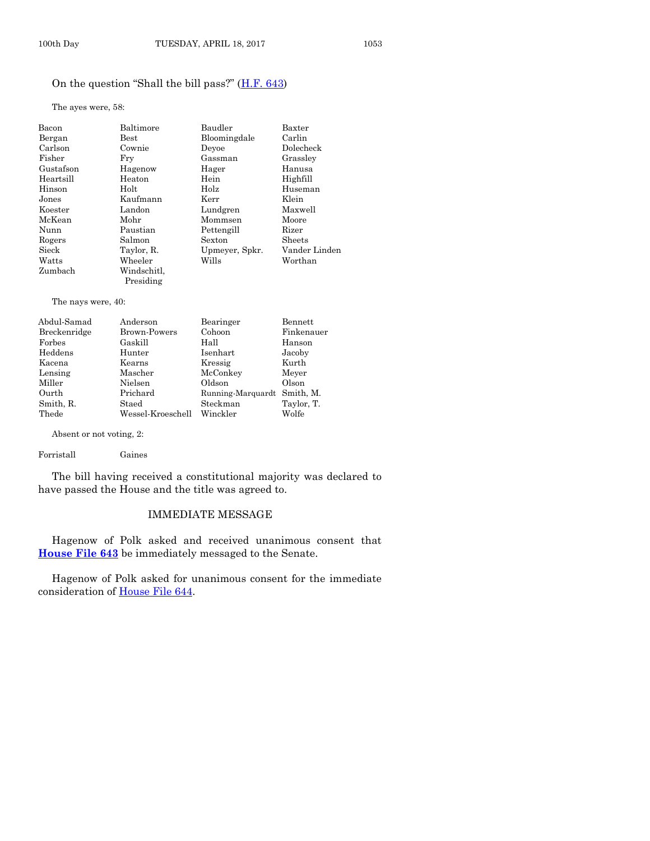### On the question "Shall the bill pass?" ([H.F. 643\)](https://www.legis.iowa.gov/legislation/BillBook?ga=87&ba=HF643)

The ayes were, 58:

| Bacon           | Baltimore                | Baudler        | Baxter        |
|-----------------|--------------------------|----------------|---------------|
| Bergan          | $_{\rm Best}$            | Bloomingdale   | Carlin        |
| Carlson         | Cownie                   | Devoe          | Dolecheck     |
| Fisher          | Fry                      | Gassman        | Grassley      |
| Gustafson       | Hagenow                  | Hager          | Hanusa        |
| Heartsill       | Heaton                   | Hein           | Highfill      |
| Hinson          | Holt                     | Holz           | Huseman       |
| Jones           | Kaufmann                 | Kerr           | Klein         |
| Koester         | Landon                   | Lundgren       | Maxwell       |
| McKean          | Mohr                     | Mommsen        | Moore         |
| Nunn            | Paustian                 | Pettengill     | Rizer         |
| Rogers          | Salmon                   | Sexton         | <b>Sheets</b> |
| Sieck           | Taylor, R.               | Upmeyer, Spkr. | Vander Linden |
| Watts           | Wheeler                  | Wills          | Worthan       |
| Zumbach         | Windschitl.<br>Presiding |                |               |
| <b>CONTRACT</b> |                          |                |               |

The nays were, 40:

| Abdul-Samad  | Anderson          | Bearinger         | Bennett    |
|--------------|-------------------|-------------------|------------|
| Breckenridge | Brown-Powers      | Cohoon            | Finkenauer |
| Forbes       | Gaskill           | Hall              | Hanson     |
| Heddens      | Hunter            | Isenhart          | Jacoby     |
| Kacena       | Kearns            | Kressig           | Kurth      |
| Lensing      | Mascher           | McConkey          | Meyer      |
| Miller       | Nielsen           | Oldson            | Olson      |
| Ourth        | Prichard          | Running-Marquardt | Smith, M.  |
| Smith, R.    | Staed             | Steckman          | Taylor, T. |
| Thede        | Wessel-Kroeschell | Winckler          | Wolfe      |
|              |                   |                   |            |

Absent or not voting, 2:

Forristall Gaines

The bill having received a constitutional majority was declared to have passed the House and the title was agreed to.

#### IMMEDIATE MESSAGE

Hagenow of Polk asked and received unanimous consent that **[House File 643](https://www.legis.iowa.gov/legislation/BillBook?ga=87&ba=HF643)** be immediately messaged to the Senate.

Hagenow of Polk asked for unanimous consent for the immediate consideration of [House File 644.](https://www.legis.iowa.gov/legislation/BillBook?ga=87&ba=HF644)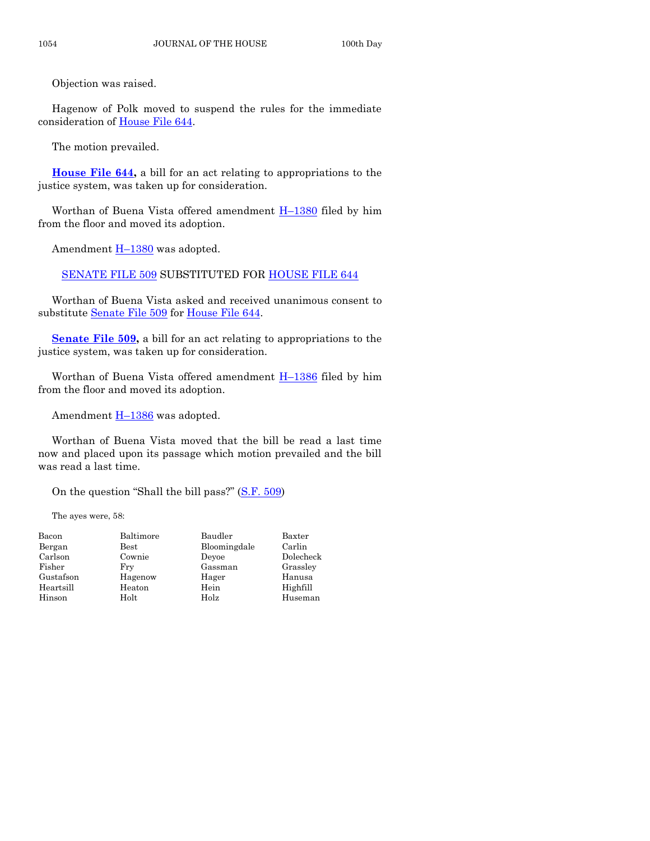Objection was raised.

Hagenow of Polk moved to suspend the rules for the immediate consideration of [House File 644.](https://www.legis.iowa.gov/legislation/BillBook?ga=87&ba=HF644)

The motion prevailed.

**[House File 644,](https://www.legis.iowa.gov/legislation/BillBook?ga=87&ba=HF644)** a bill for an act relating to appropriations to the justice system, was taken up for consideration.

Worthan of Buena Vista offered amendment  $H-1380$  $H-1380$  filed by him from the floor and moved its adoption.

Amendment **H**-[1380](https://www.legis.iowa.gov/legislation/BillBook?ga=87&ba=H1380) was adopted.

[SENATE FILE 509](https://www.legis.iowa.gov/legislation/BillBook?ga=87&ba=SF509) SUBSTITUTED FOR [HOUSE FILE 644](https://www.legis.iowa.gov/legislation/BillBook?ga=87&ba=HF644)

Worthan of Buena Vista asked and received unanimous consent to substitute [Senate File 509](https://www.legis.iowa.gov/legislation/BillBook?ga=87&ba=SF509) for [House File 644.](https://www.legis.iowa.gov/legislation/BillBook?ga=87&ba=HF644)

**Senate File 509**, a bill for an act relating to appropriations to the justice system, was taken up for consideration.

Worthan of Buena Vista offered amendment  $H-1386$  $H-1386$  filed by him from the floor and moved its adoption.

Amendment **H**-[1386](https://www.legis.iowa.gov/legislation/BillBook?ga=87&ba=H1386) was adopted.

Worthan of Buena Vista moved that the bill be read a last time now and placed upon its passage which motion prevailed and the bill was read a last time.

On the question "Shall the bill pass?" ([S.F. 509\)](https://www.legis.iowa.gov/legislation/BillBook?ga=87&ba=SF509)

The ayes were, 58:

| Bacon     | Baltimore     | Baudler      | Baxter    |
|-----------|---------------|--------------|-----------|
| Bergan    | $_{\rm Best}$ | Bloomingdale | Carlin    |
| Carlson   | Cownie        | Devoe        | Dolecheck |
| Fisher    | Frv           | Gassman      | Grassley  |
| Gustafson | Hagenow       | Hager        | Hanusa    |
| Heartsill | Heaton        | Hein         | Highfill  |
| Hinson    | Holt          | Holz         | Huseman   |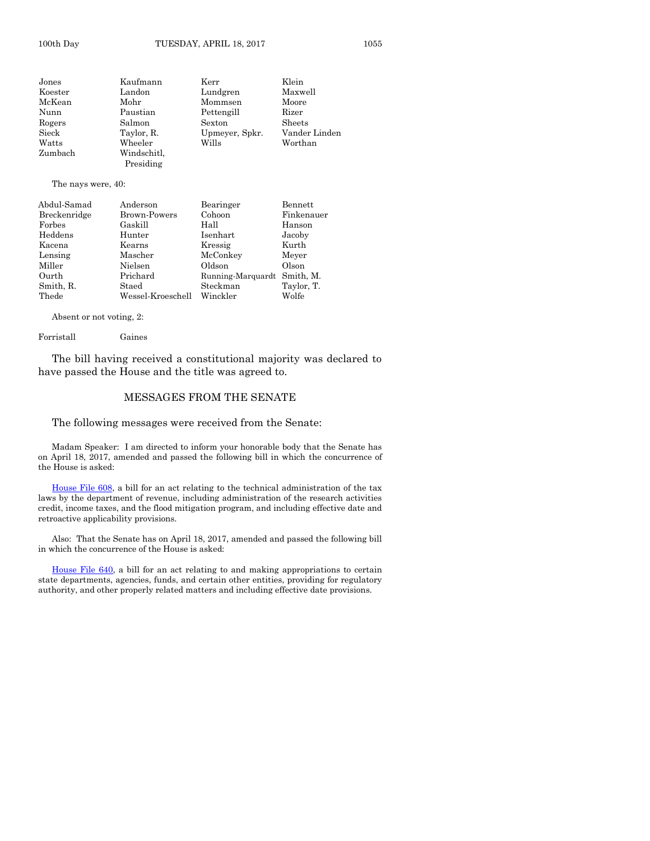| Jones   | Kaufmann    | Kerr           | Klein         |
|---------|-------------|----------------|---------------|
| Koester | Landon      | Lundgren       | Maxwell       |
| McKean  | Mohr        | Mommsen        | Moore         |
| Nunn    | Paustian    | Pettengill     | Rizer         |
| Rogers  | Salmon      | Sexton         | Sheets        |
| Sieck   | Taylor, R.  | Upmeyer, Spkr. | Vander Linden |
| Watts   | Wheeler     | Wills          | Worthan       |
| Zumbach | Windschitl, |                |               |
|         | Presiding   |                |               |

#### The nays were, 40:

| Abdul-Samad  | Anderson          | Bearinger         | Bennett    |
|--------------|-------------------|-------------------|------------|
| Breckenridge | Brown-Powers      | Cohoon            | Finkenauer |
| Forbes       | Gaskill           | Hall              | Hanson     |
| Heddens      | Hunter            | Isenhart          | Jacoby     |
| Kacena       | Kearns            | Kressig           | Kurth      |
| Lensing      | Mascher           | McConkey          | Meyer      |
| Miller       | Nielsen           | Oldson            | Olson      |
| Ourth        | Prichard          | Running-Marquardt | Smith, M.  |
| Smith, R.    | Staed             | Steckman          | Taylor, T. |
| Thede        | Wessel-Kroeschell | Winckler          | Wolfe      |

Absent or not voting, 2:

#### Forristall Gaines

The bill having received a constitutional majority was declared to have passed the House and the title was agreed to.

#### MESSAGES FROM THE SENATE

The following messages were received from the Senate:

Madam Speaker: I am directed to inform your honorable body that the Senate has on April 18, 2017, amended and passed the following bill in which the concurrence of the House is asked:

[House File 608,](https://www.legis.iowa.gov/legislation/BillBook?ga=87&ba=HF608) a bill for an act relating to the technical administration of the tax laws by the department of revenue, including administration of the research activities credit, income taxes, and the flood mitigation program, and including effective date and retroactive applicability provisions.

Also: That the Senate has on April 18, 2017, amended and passed the following bill in which the concurrence of the House is asked:

[House File 640,](https://www.legis.iowa.gov/legislation/BillBook?ga=87&ba=HF640) a bill for an act relating to and making appropriations to certain state departments, agencies, funds, and certain other entities, providing for regulatory authority, and other properly related matters and including effective date provisions.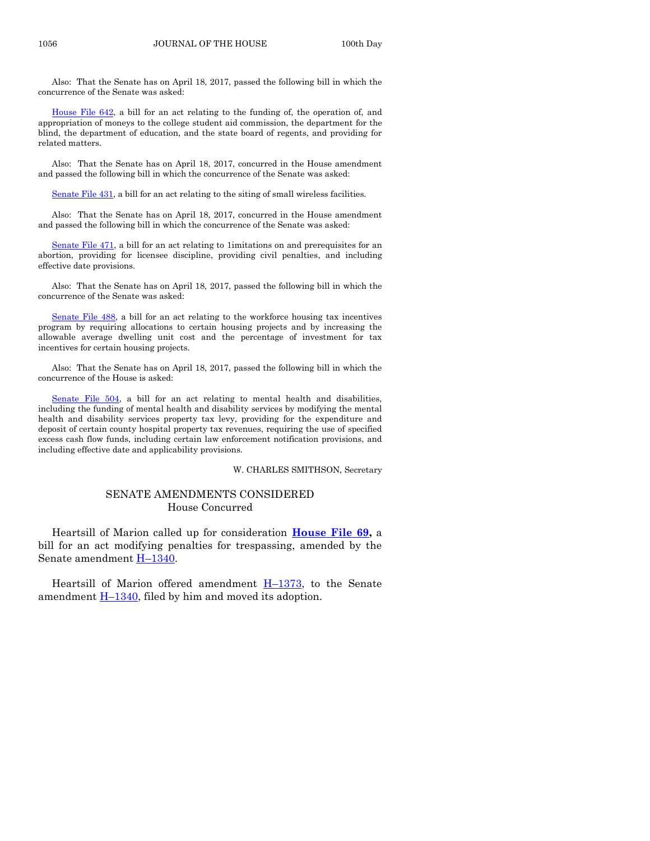Also: That the Senate has on April 18, 2017, passed the following bill in which the concurrence of the Senate was asked:

[House File 642,](https://www.legis.iowa.gov/legislation/BillBook?ga=87&ba=HF642) a bill for an act relating to the funding of, the operation of, and appropriation of moneys to the college student aid commission, the department for the blind, the department of education, and the state board of regents, and providing for related matters.

Also: That the Senate has on April 18, 2017, concurred in the House amendment and passed the following bill in which the concurrence of the Senate was asked:

[Senate File 431,](https://www.legis.iowa.gov/legislation/BillBook?ga=87&ba=SF431) a bill for an act relating to the siting of small wireless facilities.

Also: That the Senate has on April 18, 2017, concurred in the House amendment and passed the following bill in which the concurrence of the Senate was asked:

[Senate File 471,](https://www.legis.iowa.gov/legislation/BillBook?ga=87&ba=SF471) a bill for an act relating to 1 imitations on and prerequisites for an abortion, providing for licensee discipline, providing civil penalties, and including effective date provisions.

Also: That the Senate has on April 18, 2017, passed the following bill in which the concurrence of the Senate was asked:

[Senate File 488,](https://www.legis.iowa.gov/legislation/BillBook?ga=87&ba=SF488) a bill for an act relating to the workforce housing tax incentives program by requiring allocations to certain housing projects and by increasing the allowable average dwelling unit cost and the percentage of investment for tax incentives for certain housing projects.

Also: That the Senate has on April 18, 2017, passed the following bill in which the concurrence of the House is asked:

[Senate File 504,](https://www.legis.iowa.gov/legislation/BillBook?ga=87&ba=SF504) a bill for an act relating to mental health and disabilities, including the funding of mental health and disability services by modifying the mental health and disability services property tax levy, providing for the expenditure and deposit of certain county hospital property tax revenues, requiring the use of specified excess cash flow funds, including certain law enforcement notification provisions, and including effective date and applicability provisions.

#### W. CHARLES SMITHSON, Secretary

#### SENATE AMENDMENTS CONSIDERED House Concurred

Heartsill of Marion called up for consideration **[House File 69,](https://www.legis.iowa.gov/legislation/BillBook?ga=87&ba=HF69)** a bill for an act modifying penalties for trespassing, amended by the Senate amendment **H**-[1340.](https://www.legis.iowa.gov/legislation/BillBook?ga=87&ba=H1340)

Heartsill of Marion offered amendment  $H-1373$ , to the Senate amendment  $H-1340$ , filed by him and moved its adoption.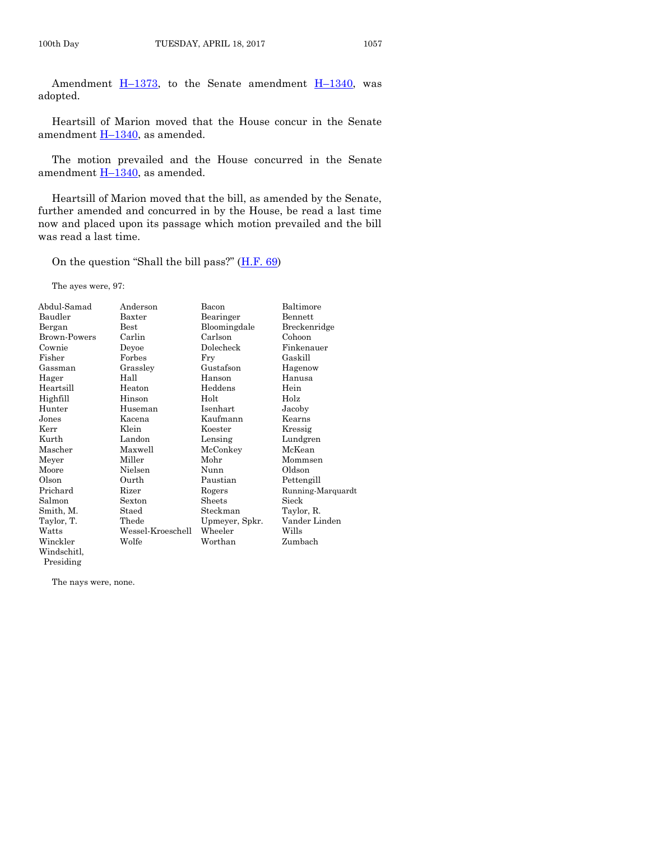Amendment  $H-1373$ , to the Senate amendment  $H-1340$ , was adopted.

Heartsill of Marion moved that the House concur in the Senate amendment  $H-1340$ , as amended.

The motion prevailed and the House concurred in the Senate amendment  $H-1340$ , as amended.

Heartsill of Marion moved that the bill, as amended by the Senate, further amended and concurred in by the House, be read a last time now and placed upon its passage which motion prevailed and the bill was read a last time.

On the question "Shall the bill pass?"  $(\underline{H.F. 69})$ 

The ayes were, 97:

| Abdul-Samad  | Anderson          | Bacon          | Baltimore         |
|--------------|-------------------|----------------|-------------------|
| Baudler      | Baxter            | Bearinger      | Bennett           |
| Bergan       | <b>Best</b>       | Bloomingdale   | Breckenridge      |
| Brown-Powers | Carlin            | Carlson        | Cohoon            |
| Cownie       | Deyoe             | Dolecheck      | Finkenauer        |
| Fisher       | Forbes            | Fry            | Gaskill           |
| Gassman      | Grassley          | Gustafson      | Hagenow           |
| Hager        | Hall              | Hanson         | Hanusa            |
| Heartsill    | Heaton            | Heddens        | Hein              |
| Highfill     | Hinson            | Holt           | Holz              |
| Hunter       | Huseman           | Isenhart       | Jacoby            |
| Jones        | Kacena            | Kaufmann       | Kearns            |
| Kerr         | Klein             | Koester        | Kressig           |
| Kurth        | Landon            | Lensing        | Lundgren          |
| Mascher      | Maxwell           | McConkey       | McKean            |
| Meyer        | Miller            | Mohr           | Mommsen           |
| Moore        | Nielsen           | Nunn           | Oldson            |
| Olson        | Ourth             | Paustian       | Pettengill        |
| Prichard     | Rizer             | Rogers         | Running-Marquardt |
| Salmon       | Sexton            | Sheets         | Sieck             |
| Smith, M.    | Staed             | Steckman       | Taylor, R.        |
| Taylor, T.   | Thede             | Upmeyer, Spkr. | Vander Linden     |
| Watts        | Wessel-Kroeschell | Wheeler        | Wills             |
| Winckler     | Wolfe             | Worthan        | Zumbach           |
| Windschitl,  |                   |                |                   |
| Presiding    |                   |                |                   |

The nays were, none.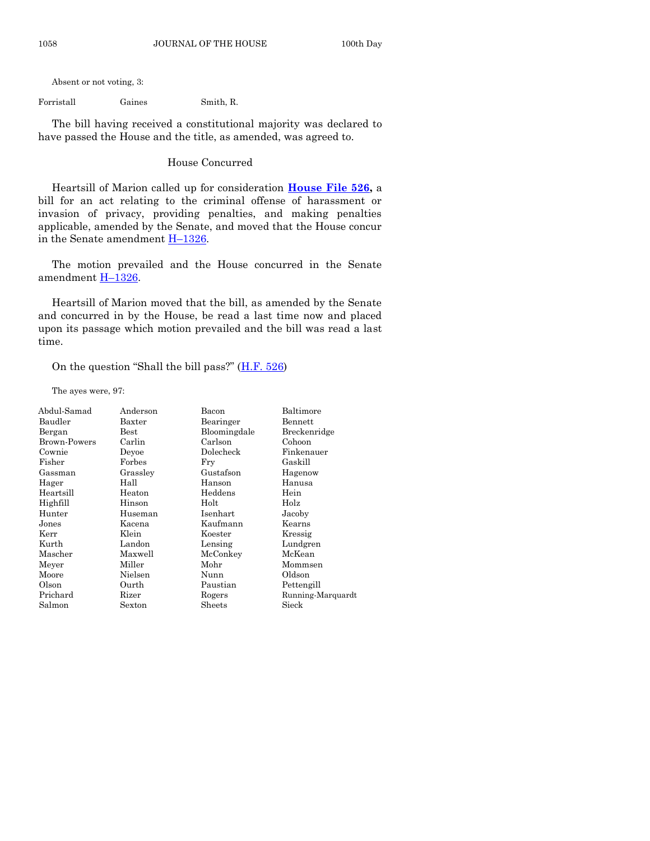Absent or not voting, 3:

Forristall Gaines Smith, R.

The bill having received a constitutional majority was declared to have passed the House and the title, as amended, was agreed to.

#### House Concurred

Heartsill of Marion called up for consideration **[House File 526,](https://www.legis.iowa.gov/legislation/BillBook?ga=87&ba=HF526)** a bill for an act relating to the criminal offense of harassment or invasion of privacy, providing penalties, and making penalties applicable, amended by the Senate, and moved that the House concur in the Senate amendment **H**-[1326.](https://www.legis.iowa.gov/legislation/BillBook?ga=87&ba=H1326)

The motion prevailed and the House concurred in the Senate amendment H–[1326.](https://www.legis.iowa.gov/legislation/BillBook?ga=87&ba=H1326)

Heartsill of Marion moved that the bill, as amended by the Senate and concurred in by the House, be read a last time now and placed upon its passage which motion prevailed and the bill was read a last time.

On the question "Shall the bill pass?"  $(H.F. 526)$  $(H.F. 526)$ 

The ayes were, 97:

| Abdul-Samad  | Anderson      | Bacon        | Baltimore         |
|--------------|---------------|--------------|-------------------|
| Baudler      | Baxter        | Bearinger    | Bennett           |
| Bergan       | $_{\rm Best}$ | Bloomingdale | Breckenridge      |
| Brown-Powers | Carlin        | Carlson      | Cohoon            |
| Cownie       | Devoe         | Dolecheck    | Finkenauer        |
| Fisher       | Forbes        | Fry          | Gaskill           |
| Gassman      | Grassley      | Gustafson    | Hagenow           |
| Hager        | Hall          | Hanson       | Hanusa            |
| Heartsill    | Heaton        | Heddens      | Hein              |
| Highfill     | Hinson        | Holt         | Holz              |
| Hunter       | Huseman       | Isenhart     | Jacoby            |
| Jones        | Kacena        | Kaufmann     | Kearns            |
| Kerr         | Klein         | Koester      | Kressig           |
| Kurth        | Landon        | Lensing      | Lundgren          |
| Mascher      | Maxwell       | McConkey     | McKean            |
| Meyer        | Miller        | Mohr         | Mommsen           |
| Moore        | Nielsen       | Nunn         | Oldson            |
| Olson        | Ourth         | Paustian     | Pettengill        |
| Prichard     | Rizer         | Rogers       | Running-Marquardt |
| Salmon       | Sexton        | Sheets       | Sieck             |
|              |               |              |                   |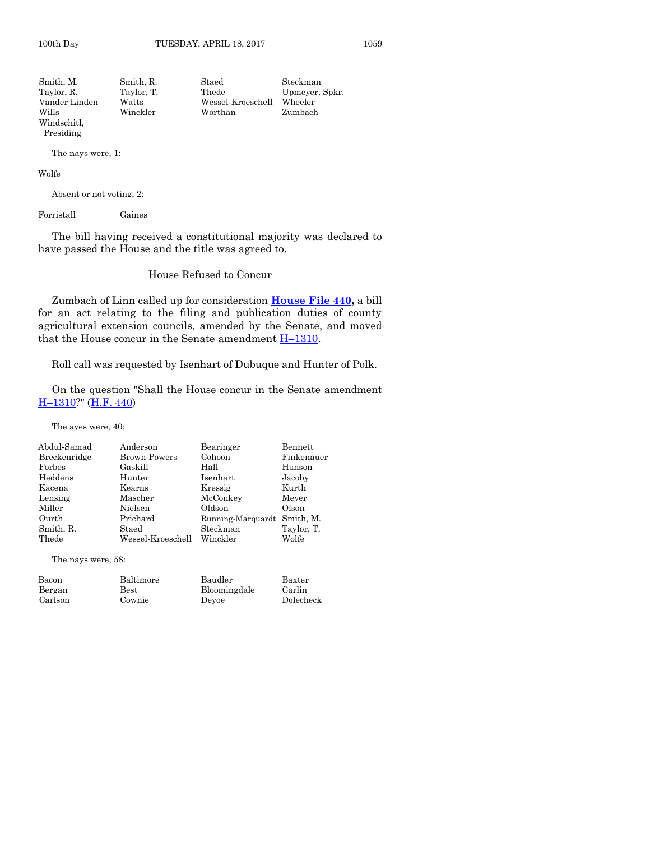| Smith. M.     | Smith, R.  | Staed             | Steckman       |
|---------------|------------|-------------------|----------------|
| Taylor, R.    | Taylor, T. | Thede             | Upmeyer, Spkr. |
| Vander Linden | Watts      | Wessel-Kroeschell | Wheeler        |
| Wills         | Winckler   | Worthan           | Zumbach        |
| Windschitl.   |            |                   |                |
| Presiding     |            |                   |                |

The nays were, 1:

Wolfe

Absent or not voting, 2:

Forristall Gaines

The bill having received a constitutional majority was declared to have passed the House and the title was agreed to.

#### House Refused to Concur

Zumbach of Linn called up for consideration **[House File 440,](https://www.legis.iowa.gov/legislation/BillBook?ga=87&ba=HF440)** a bill for an act relating to the filing and publication duties of county agricultural extension councils, amended by the Senate, and moved that the House concur in the Senate amendment  $H-1310$ .

Roll call was requested by Isenhart of Dubuque and Hunter of Polk.

On the question "Shall the House concur in the Senate amendment H–[1310?](https://www.legis.iowa.gov/legislation/BillBook?ga=87&ba=H1310)" [\(H.F. 440\)](https://www.legis.iowa.gov/legislation/BillBook?ga=87&ba=HF440)

The ayes were, 40:

| Abdul-Samad  | Anderson            | Bearinger                   | Bennett    |
|--------------|---------------------|-----------------------------|------------|
| Breckenridge | <b>Brown-Powers</b> | Cohoon                      | Finkenauer |
| Forbes       | Gaskill             | Hall                        | Hanson     |
| Heddens      | Hunter              | Isenhart                    | Jacoby     |
| Kacena       | Kearns              | Kressig                     | Kurth      |
| Lensing      | Mascher             | McConkey                    | Meyer      |
| Miller       | Nielsen             | Oldson                      | Olson      |
| Ourth        | Prichard            | Running-Marquardt Smith, M. |            |
| Smith, R.    | Staed               | Steckman                    | Taylor, T. |
| Thede        | Wessel-Kroeschell   | Winckler                    | Wolfe      |

The nays were, 58:

| Bacon   | Baltimore     | Baudler      | Baxter    |
|---------|---------------|--------------|-----------|
| Bergan  | $_{\rm Best}$ | Bloomingdale | Carlin    |
| Carlson | Cownie        | Devoe        | Dolecheck |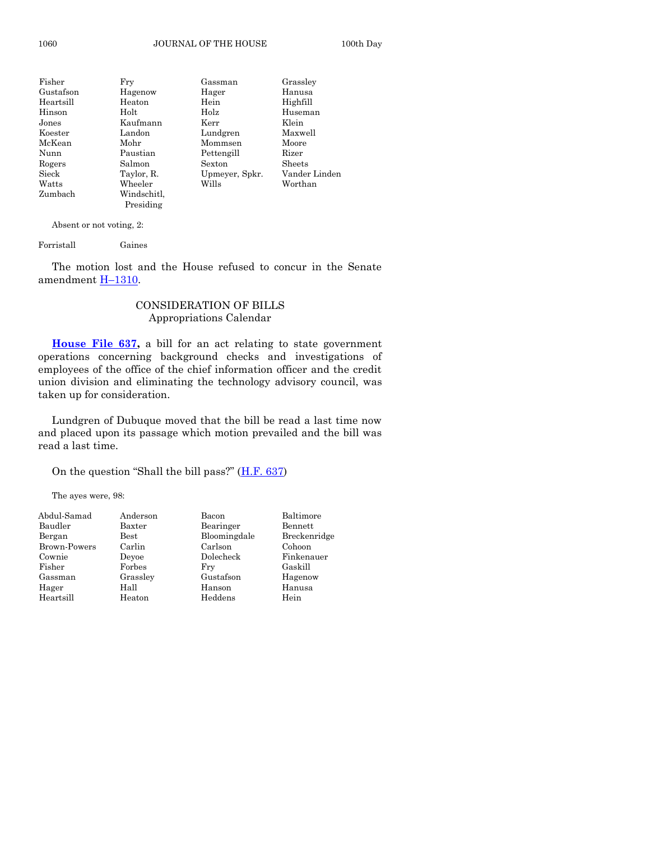| Fisher    | Fry         | Gassman        | Grassley      |
|-----------|-------------|----------------|---------------|
| Gustafson | Hagenow     | Hager          | Hanusa        |
| Heartsill | Heaton      | Hein           | Highfill      |
| Hinson    | Holt        | Holz           | Huseman       |
| Jones     | Kaufmann    | Kerr           | Klein         |
| Koester   | Landon      | Lundgren       | Maxwell       |
| McKean    | Mohr        | Mommsen        | Moore         |
| Nunn      | Paustian    | Pettengill     | Rizer         |
| Rogers    | Salmon      | Sexton         | Sheets        |
| Sieck     | Taylor, R.  | Upmeyer, Spkr. | Vander Linden |
| Watts     | Wheeler     | Wills          | Worthan       |
| Zumbach   | Windschitl, |                |               |
|           | Presiding   |                |               |

Absent or not voting, 2:

Forristall Gaines

The motion lost and the House refused to concur in the Senate amendment H–[1310.](https://www.legis.iowa.gov/legislation/BillBook?ga=87&ba=H1310)

#### CONSIDERATION OF BILLS Appropriations Calendar

**[House File 637,](https://www.legis.iowa.gov/legislation/BillBook?ga=87&ba=HF637)** a bill for an act relating to state government operations concerning background checks and investigations of employees of the office of the chief information officer and the credit union division and eliminating the technology advisory council, was taken up for consideration.

Lundgren of Dubuque moved that the bill be read a last time now and placed upon its passage which motion prevailed and the bill was read a last time.

On the question "Shall the bill pass?" ([H.F. 637\)](https://www.legis.iowa.gov/legislation/BillBook?ga=87&ba=HF637)

The ayes were, 98:

| Abdul-Samad  | Anderson      | Bacon        | Baltimore    |
|--------------|---------------|--------------|--------------|
| Baudler      | Baxter        | Bearinger    | Bennett      |
| Bergan       | $_{\rm Best}$ | Bloomingdale | Breckenridge |
| Brown-Powers | Carlin        | Carlson      | Cohoon       |
| Cownie       | Devoe         | Dolecheck    | Finkenauer   |
| Fisher       | Forbes        | Frv          | Gaskill      |
| Gassman      | Grassley      | Gustafson    | Hagenow      |
| Hager        | Hall          | Hanson       | Hanusa       |
| Heartsill    | Heaton        | Heddens      | Hein         |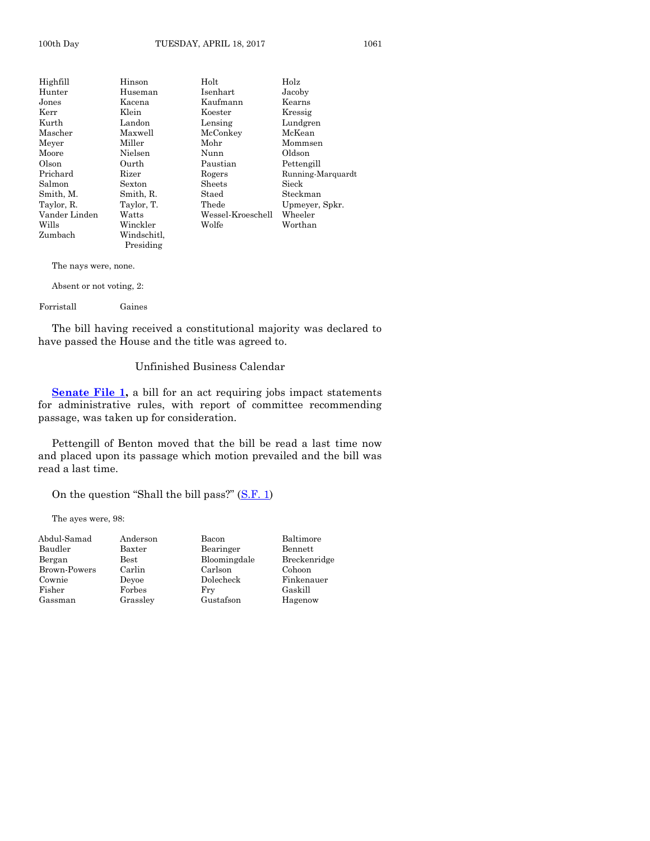| Highfill      | Hinson                   | Holt              | Holz              |
|---------------|--------------------------|-------------------|-------------------|
| Hunter        | Huseman                  | Isenhart          | Jacoby            |
| Jones         | Kacena                   | Kaufmann          | Kearns            |
| Kerr          | Klein                    | Koester           | Kressig           |
| Kurth         | Landon                   | Lensing           | Lundgren          |
| Mascher       | Maxwell                  | McConkey          | McKean            |
| Meyer         | Miller                   | Mohr              | Mommsen           |
| Moore         | Nielsen                  | Nunn              | Oldson            |
| Olson         | Ourth                    | Paustian          | Pettengill        |
| Prichard      | Rizer                    | Rogers            | Running-Marquardt |
| Salmon        | Sexton                   | Sheets            | Sieck             |
| Smith, M.     | Smith, R.                | Staed             | Steckman          |
| Taylor, R.    | Taylor, T.               | Thede             | Upmeyer, Spkr.    |
| Vander Linden | Watts                    | Wessel-Kroeschell | Wheeler           |
| Wills         | Winckler                 | Wolfe             | Worthan           |
| Zumbach       | Windschitl.<br>Presiding |                   |                   |
|               |                          |                   |                   |

The nays were, none.

Absent or not voting, 2:

Forristall Gaines

The bill having received a constitutional majority was declared to have passed the House and the title was agreed to.

#### Unfinished Business Calendar

**[Senate File 1,](https://www.legis.iowa.gov/legislation/BillBook?ga=87&ba=SF1)** a bill for an act requiring jobs impact statements for administrative rules, with report of committee recommending passage, was taken up for consideration.

Pettengill of Benton moved that the bill be read a last time now and placed upon its passage which motion prevailed and the bill was read a last time.

On the question "Shall the bill pass?" ([S.F. 1\)](https://www.legis.iowa.gov/legislation/BillBook?ga=87&ba=SF1)

The ayes were, 98:

| Abdul-Samad         | Anderson | Bacon        | Baltimore    |
|---------------------|----------|--------------|--------------|
| Baudler             | Baxter   | Bearinger    | Bennett      |
| Bergan              | Best     | Bloomingdale | Breckenridge |
| <b>Brown-Powers</b> | Carlin   | Carlson      | Cohoon       |
| Cownie              | Devoe    | Dolecheck    | Finkenauer   |
| Fisher              | Forbes   | Fry          | Gaskill      |
| Gassman             | Grassley | Gustafson    | Hagenow      |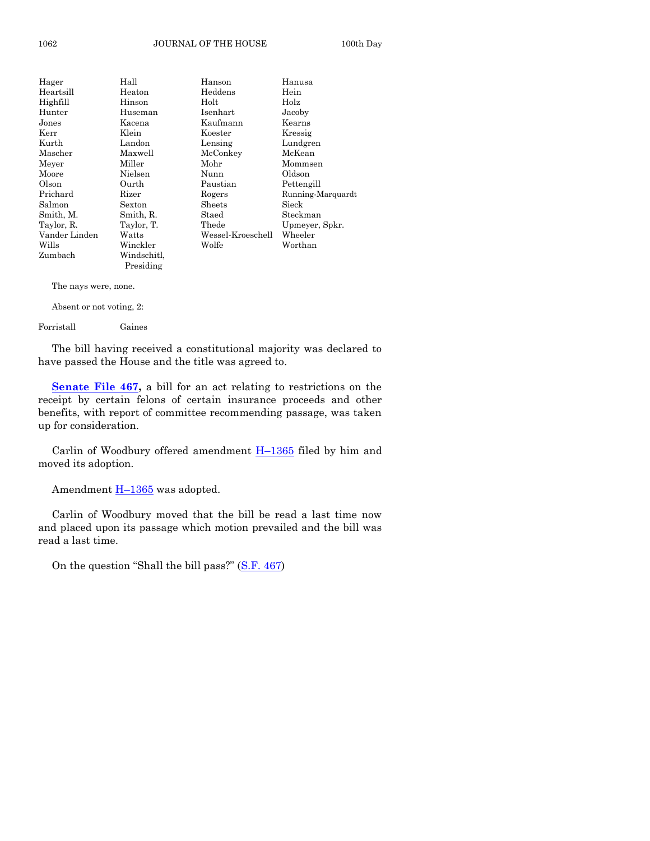| Hager         | Hall        | Hanson            | Hanusa            |
|---------------|-------------|-------------------|-------------------|
| Heartsill     | Heaton      | Heddens           | Hein              |
| Highfill      | Hinson      | Holt              | Holz              |
| Hunter        | Huseman     | Isenhart          | Jacoby            |
| ${\rm Jones}$ | Kacena      | Kaufmann          | Kearns            |
| Kerr          | Klein       | Koester           | Kressig           |
| Kurth         | Landon      | Lensing           | Lundgren          |
| Mascher       | Maxwell     | McConkey          | McKean            |
| Meyer         | Miller      | Mohr              | Mommsen           |
| Moore         | Nielsen     | Nunn              | Oldson            |
| Olson         | Ourth       | Paustian          | Pettengill        |
| Prichard      | Rizer       | Rogers            | Running-Marquardt |
| Salmon        | Sexton      | Sheets            | Sieck             |
| Smith, M.     | Smith, R.   | Staed             | Steckman          |
| Taylor, R.    | Taylor, T.  | Thede             | Upmeyer, Spkr.    |
| Vander Linden | Watts       | Wessel-Kroeschell | Wheeler           |
| Wills         | Winckler    | Wolfe             | Worthan           |
| Zumbach       | Windschitl, |                   |                   |
|               | Presiding   |                   |                   |

The nays were, none.

Absent or not voting, 2:

Forristall Gaines

The bill having received a constitutional majority was declared to have passed the House and the title was agreed to.

**[Senate File 467,](https://www.legis.iowa.gov/legislation/BillBook?ga=87&ba=SF467)** a bill for an act relating to restrictions on the receipt by certain felons of certain insurance proceeds and other benefits, with report of committee recommending passage, was taken up for consideration.

Carlin of Woodbury offered amendment  $H-1365$  $H-1365$  filed by him and moved its adoption.

Amendment  $H-1365$  $H-1365$  was adopted.

Carlin of Woodbury moved that the bill be read a last time now and placed upon its passage which motion prevailed and the bill was read a last time.

On the question "Shall the bill pass?" ([S.F. 467\)](https://www.legis.iowa.gov/legislation/BillBook?ga=87&ba=SF467)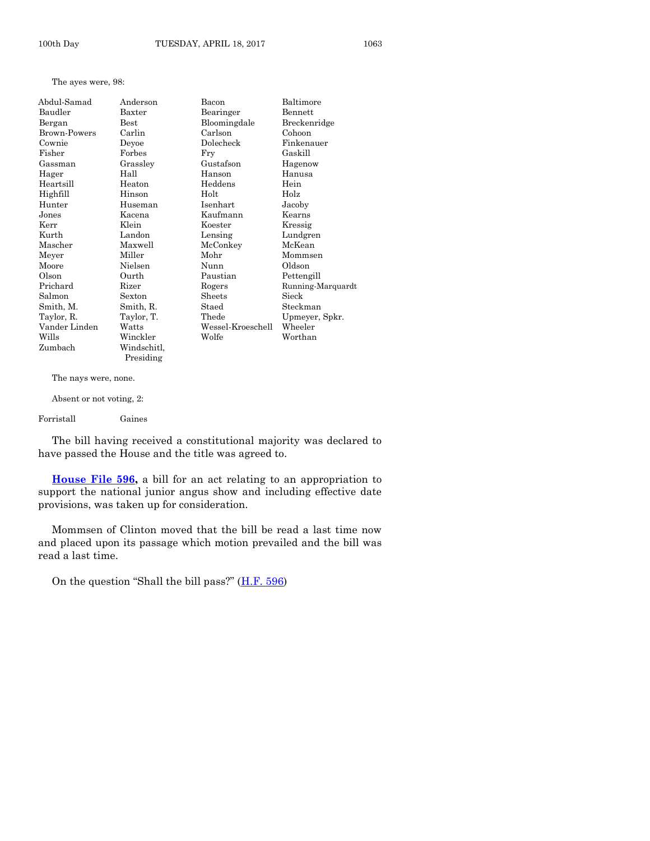The ayes were, 98:

| Abdul-Samad   | Anderson    | Bacon             | Baltimore         |
|---------------|-------------|-------------------|-------------------|
| Baudler       | Baxter      | Bearinger         | Bennett           |
| Bergan        | <b>Best</b> | Bloomingdale      | Breckenridge      |
| Brown-Powers  | Carlin      | Carlson           | Cohoon            |
| Cownie        | Deyoe       | Dolecheck         | Finkenauer        |
| Fisher        | Forbes      | Fry               | Gaskill           |
| Gassman       | Grassley    | Gustafson         | Hagenow           |
| Hager         | Hall        | Hanson            | Hanusa            |
| Heartsill     | Heaton      | Heddens           | Hein              |
| Highfill      | Hinson      | Holt              | Holz              |
| Hunter        | Huseman     | Isenhart          | Jacoby            |
| Jones         | Kacena      | Kaufmann          | Kearns            |
| Kerr          | Klein       | Koester           | Kressig           |
| Kurth         | Landon      | Lensing           | Lundgren          |
| Mascher       | Maxwell     | McConkey          | McKean            |
| Meyer         | Miller      | Mohr              | Mommsen           |
| Moore         | Nielsen     | Nunn              | Oldson            |
| Olson         | Ourth       | Paustian          | Pettengill        |
| Prichard      | Rizer       | Rogers            | Running-Marquardt |
| Salmon        | Sexton      | Sheets            | Sieck             |
| Smith, M.     | Smith, R.   | Staed             | Steckman          |
| Taylor, R.    | Taylor, T.  | Thede             | Upmeyer, Spkr.    |
| Vander Linden | Watts       | Wessel-Kroeschell | Wheeler           |
| Wills         | Winckler    | Wolfe             | Worthan           |
| Zumbach       | Windschitl. |                   |                   |

The nays were, none.

Presiding

Absent or not voting, 2:

Forristall Gaines

The bill having received a constitutional majority was declared to have passed the House and the title was agreed to.

**[House File 596,](https://www.legis.iowa.gov/legislation/BillBook?ga=87&ba=HF596)** a bill for an act relating to an appropriation to support the national junior angus show and including effective date provisions, was taken up for consideration.

Mommsen of Clinton moved that the bill be read a last time now and placed upon its passage which motion prevailed and the bill was read a last time.

On the question "Shall the bill pass?"  $(H.F. 596)$  $(H.F. 596)$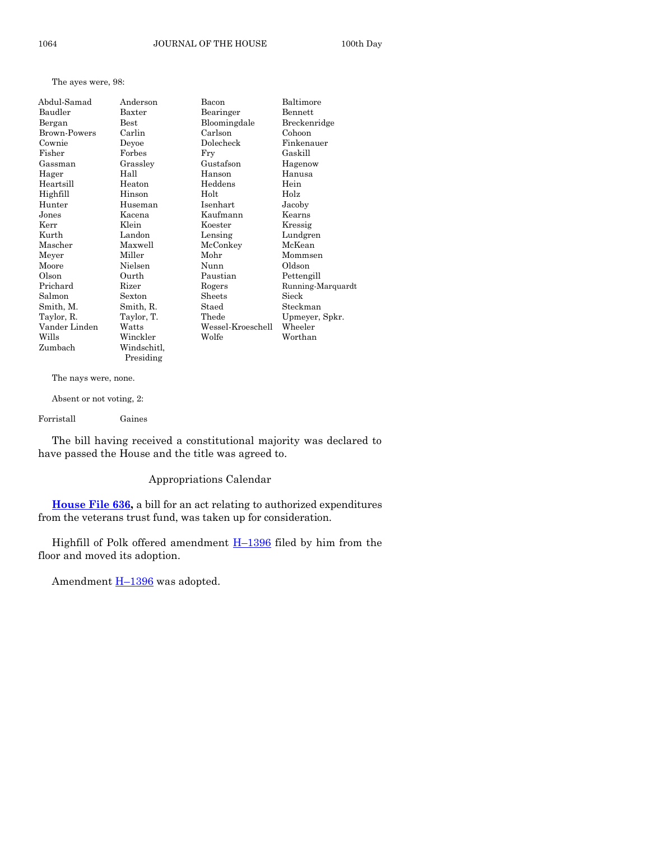The ayes were, 98:

| Abdul-Samad         | Anderson    | Bacon             | Baltimore         |
|---------------------|-------------|-------------------|-------------------|
| Baudler             | Baxter      | Bearinger         | Bennett           |
| Bergan              | Best        | Bloomingdale      | Breckenridge      |
| <b>Brown-Powers</b> | Carlin      | Carlson           | Cohoon            |
| Cownie              | Deyoe       | Dolecheck         | Finkenauer        |
| Fisher              | Forbes      | Fry               | Gaskill           |
| Gassman             | Grassley    | Gustafson         | Hagenow           |
| Hager               | Hall        | Hanson            | Hanusa            |
| Heartsill           | Heaton      | Heddens           | Hein              |
| Highfill            | Hinson      | Holt              | Holz              |
| Hunter              | Huseman     | Isenhart          | Jacoby            |
| Jones               | Kacena      | Kaufmann          | Kearns            |
| Kerr                | Klein       | Koester           | Kressig           |
| Kurth               | Landon      | Lensing           | Lundgren          |
| Mascher             | Maxwell     | McConkey          | McKean            |
| Meyer               | Miller      | Mohr              | Mommsen           |
| Moore               | Nielsen     | Nunn              | Oldson            |
| Olson               | Ourth       | Paustian          | Pettengill        |
| Prichard            | Rizer       | Rogers            | Running-Marquardt |
| Salmon              | Sexton      | Sheets            | Sieck             |
| Smith, M.           | Smith, R.   | Staed             | Steckman          |
| Taylor, R.          | Taylor, T.  | Thede             | Upmeyer, Spkr.    |
| Vander Linden       | Watts       | Wessel-Kroeschell | Wheeler           |
| Wills               | Winckler    | Wolfe             | Worthan           |
| Zumbach             | Windschitl. |                   |                   |

The nays were, none.

Absent or not voting, 2:

Forristall Gaines

The bill having received a constitutional majority was declared to have passed the House and the title was agreed to.

#### Appropriations Calendar

**[House File 636,](https://www.legis.iowa.gov/legislation/BillBook?ga=87&ba=HF636)** a bill for an act relating to authorized expenditures from the veterans trust fund, was taken up for consideration.

Highfill of Polk offered amendment  $H-1396$  $H-1396$  filed by him from the floor and moved its adoption.

Amendment **H**-[1396](https://www.legis.iowa.gov/legislation/BillBook?ga=87&ba=H1396) was adopted.

Presiding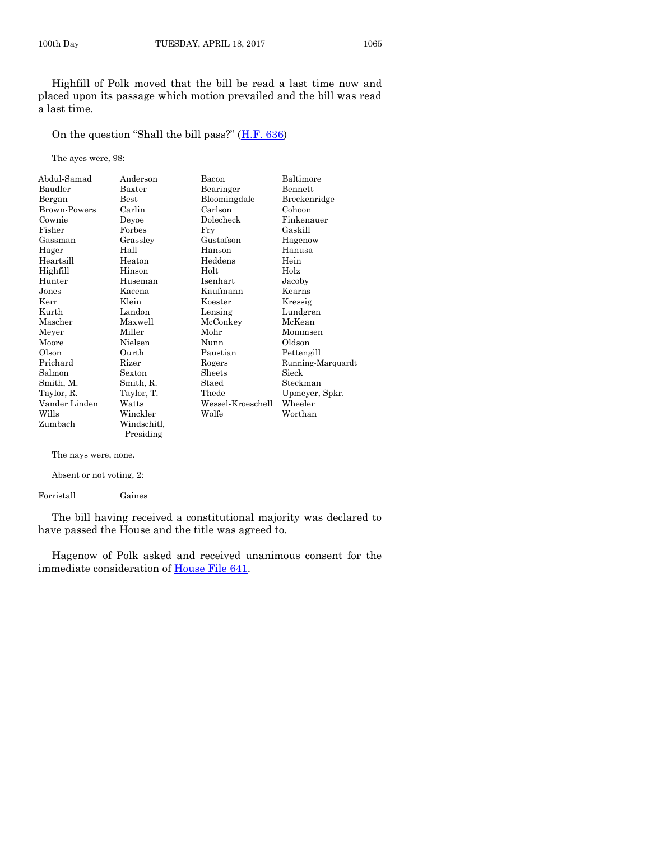Highfill of Polk moved that the bill be read a last time now and placed upon its passage which motion prevailed and the bill was read a last time.

On the question "Shall the bill pass?" ([H.F. 636\)](https://www.legis.iowa.gov/legislation/BillBook?ga=87&ba=HF636)

The ayes were, 98:

| Abdul-Samad   | Anderson    | Bacon             | Baltimore         |
|---------------|-------------|-------------------|-------------------|
| Baudler       | Baxter      | Bearinger         | <b>Bennett</b>    |
| Bergan        | Best        | Bloomingdale      | Breckenridge      |
| Brown-Powers  | Carlin      | Carlson           | Cohoon            |
| Cownie        | Deyoe       | Dolecheck         | Finkenauer        |
| Fisher        | Forbes      | Fry               | Gaskill           |
| Gassman       | Grassley    | Gustafson         | Hagenow           |
| Hager         | Hall        | Hanson            | Hanusa            |
| Heartsill     | Heaton      | Heddens           | Hein              |
| Highfill      | Hinson      | Holt              | Holz              |
| Hunter        | Huseman     | Isenhart          | Jacoby            |
| Jones         | Kacena      | Kaufmann          | Kearns            |
| Kerr          | Klein       | Koester           | Kressig           |
| Kurth         | Landon      | Lensing           | Lundgren          |
| Mascher       | Maxwell     | McConkey          | McKean            |
| Meyer         | Miller      | Mohr              | Mommsen           |
| Moore         | Nielsen     | Nunn              | Oldson            |
| Olson         | Ourth       | Paustian          | Pettengill        |
| Prichard      | Rizer       | Rogers            | Running-Marquardt |
| Salmon        | Sexton      | Sheets            | Sieck             |
| Smith, M.     | Smith, R.   | Staed             | Steckman          |
| Taylor, R.    | Taylor, T.  | Thede             | Upmeyer, Spkr.    |
| Vander Linden | Watts       | Wessel-Kroeschell | Wheeler           |
| Wills         | Winckler    | Wolfe             | Worthan           |
| Zumbach       | Windschitl, |                   |                   |
|               | Presiding   |                   |                   |

The nays were, none.

Absent or not voting, 2:

Forristall Gaines

The bill having received a constitutional majority was declared to have passed the House and the title was agreed to.

Hagenow of Polk asked and received unanimous consent for the immediate consideration of [House File 641.](https://www.legis.iowa.gov/legislation/BillBook?ga=87&ba=HF641)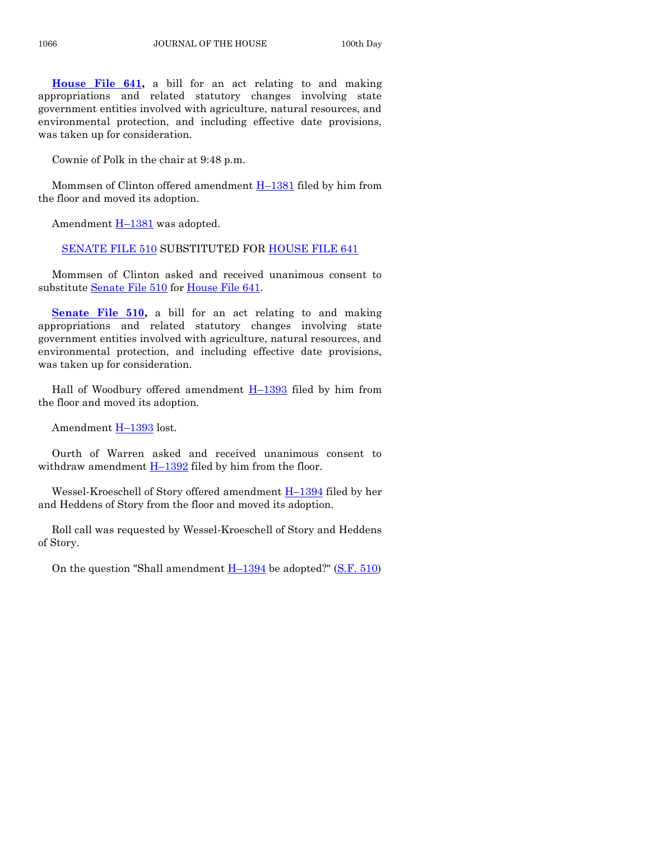**[House File 641,](https://www.legis.iowa.gov/legislation/BillBook?ga=87&ba=HF641)** a bill for an act relating to and making appropriations and related statutory changes involving state government entities involved with agriculture, natural resources, and environmental protection, and including effective date provisions, was taken up for consideration.

Cownie of Polk in the chair at 9:48 p.m.

Mommsen of Clinton offered amendment  $H-1381$  $H-1381$  filed by him from the floor and moved its adoption.

Amendment H–[1381](https://www.legis.iowa.gov/legislation/BillBook?ga=87&ba=H1381) was adopted.

[SENATE FILE 510](https://www.legis.iowa.gov/legislation/BillBook?ga=87&ba=SF510) SUBSTITUTED FOR [HOUSE FILE 641](https://www.legis.iowa.gov/legislation/BillBook?ga=87&ba=HF641)

Mommsen of Clinton asked and received unanimous consent to substitute [Senate File 510](https://www.legis.iowa.gov/legislation/BillBook?ga=87&ba=SF510) for [House File 641.](https://www.legis.iowa.gov/legislation/BillBook?ga=87&ba=HF641)

**[Senate File 510,](https://www.legis.iowa.gov/legislation/BillBook?ga=87&ba=SF510)** a bill for an act relating to and making appropriations and related statutory changes involving state government entities involved with agriculture, natural resources, and environmental protection, and including effective date provisions, was taken up for consideration.

Hall of Woodbury offered amendment  $H-1393$  $H-1393$  filed by him from the floor and moved its adoption.

Amendment H–[1393](https://www.legis.iowa.gov/legislation/BillBook?ga=87&ba=H1393) lost.

Ourth of Warren asked and received unanimous consent to withdraw amendment  $H-1392$  $H-1392$  filed by him from the floor.

Wessel-Kroeschell of Story offered amendment H–[1394](https://www.legis.iowa.gov/legislation/BillBook?ga=87&ba=H1394) filed by her and Heddens of Story from the floor and moved its adoption.

Roll call was requested by Wessel-Kroeschell of Story and Heddens of Story.

On the question "Shall amendment  $H-1394$  $H-1394$  be adopted?" [\(S.F. 510\)](https://www.legis.iowa.gov/legislation/BillBook?ga=87&ba=SF510)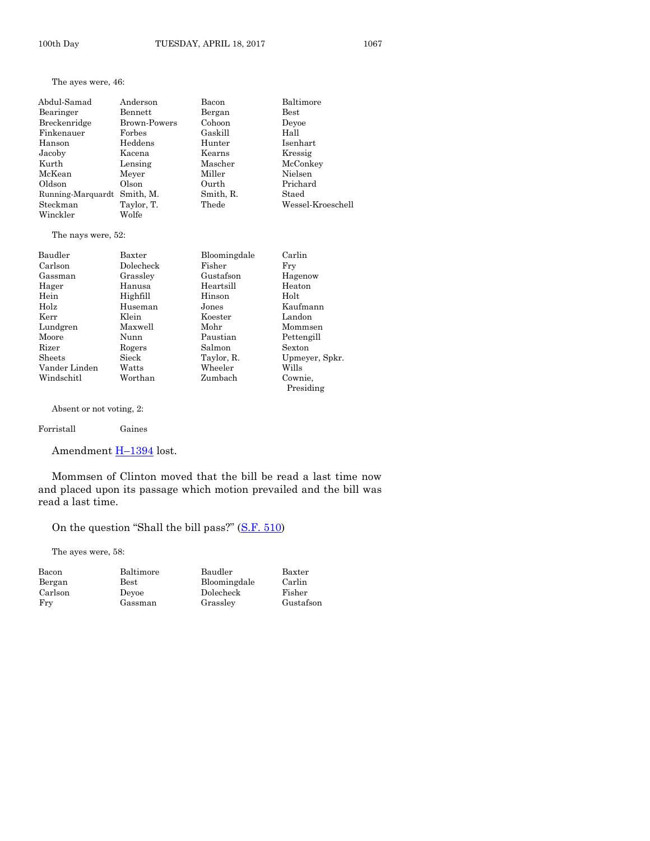The ayes were, 46:

| Abdul-Samad       | Anderson            | Bacon     | Baltimore         |
|-------------------|---------------------|-----------|-------------------|
| Bearinger         | Bennett             | Bergan    | $_{\rm Best}$     |
| Breckenridge      | <b>Brown-Powers</b> | Cohoon    | Devoe             |
| Finkenauer        | Forbes              | Gaskill   | Hall              |
| Hanson            | Heddens             | Hunter    | Isenhart          |
| Jacoby            | Kacena              | Kearns    | Kressig           |
| Kurth             | Lensing             | Mascher   | McConkey          |
| McKean            | Meyer               | Miller    | Nielsen           |
| Oldson            | Olson               | Ourth     | Prichard          |
| Running-Marquardt | Smith, M.           | Smith, R. | Staed             |
| Steckman          | Taylor, T.          | Thede     | Wessel-Kroeschell |
| Winckler          | Wolfe               |           |                   |

The nays were, 52:

| Baudler       | Baxter    | Bloomingdale | Carlin         |
|---------------|-----------|--------------|----------------|
| Carlson       | Dolecheck | Fisher       | Fry            |
| Gassman       | Grassley  | Gustafson    | Hagenow        |
| Hager         | Hanusa    | Heartsill    | Heaton         |
| Hein          | Highfill  | Hinson       | Holt           |
| Holz          | Huseman   | Jones        | Kaufmann       |
| Kerr          | Klein     | Koester      | Landon         |
| Lundgren      | Maxwell   | Mohr         | Mommsen        |
| Moore         | Nunn      | Paustian     | Pettengill     |
| Rizer         | Rogers    | Salmon       | Sexton         |
| <b>Sheets</b> | Sieck     | Taylor, R.   | Upmeyer, Spkr. |
| Vander Linden | Watts     | Wheeler      | Wills          |
| Windschitl    | Worthan   | Zumbach      | Cownie,        |
|               |           |              | Presiding      |

Absent or not voting, 2:

#### Forristall Gaines

Amendment **H**-[1394](https://www.legis.iowa.gov/legislation/BillBook?ga=87&ba=H1394) lost.

Mommsen of Clinton moved that the bill be read a last time now and placed upon its passage which motion prevailed and the bill was read a last time.

On the question "Shall the bill pass?" ([S.F. 510\)](https://www.legis.iowa.gov/legislation/BillBook?ga=87&ba=SF510)

The ayes were, 58:

| Bacon   | Baltimore     | Baudler      | Baxter    |
|---------|---------------|--------------|-----------|
| Bergan  | $_{\rm Best}$ | Bloomingdale | Carlin    |
| Carlson | Devoe         | Dolecheck    | Fisher    |
| Fry     | Gassman       | Grasslev     | Gustafson |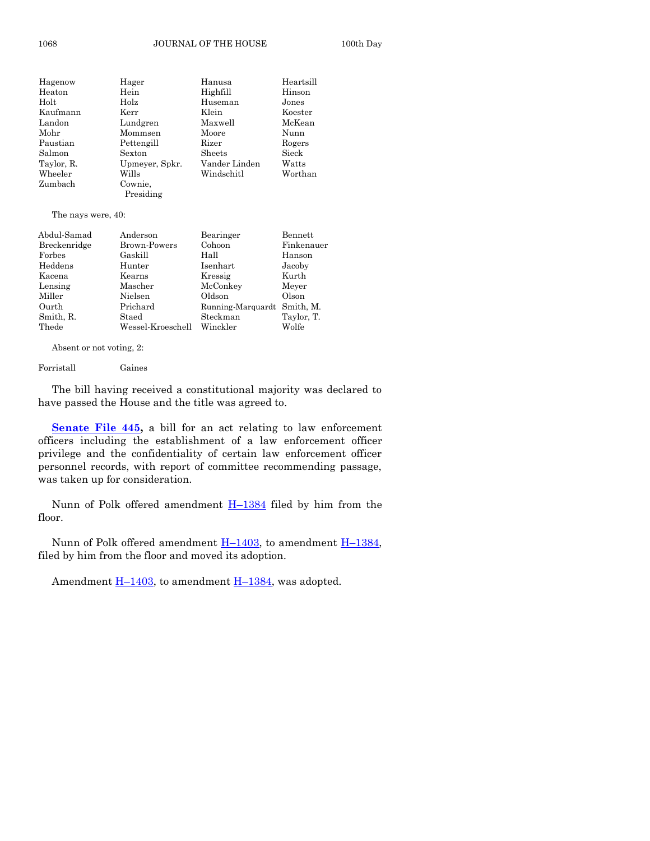1068 JOURNAL OF THE HOUSE 100th Day

| Hagenow    | Hager          | Hanusa        | Heartsill |
|------------|----------------|---------------|-----------|
| Heaton     | Hein           | Highfill      | Hinson    |
| Holt       | Holz           | Huseman       | Jones     |
| Kaufmann   | Kerr           | Klein         | Koester   |
| Landon     | Lundgren       | Maxwell       | McKean    |
| Mohr       | Mommsen        | Moore         | Nunn      |
| Paustian   | Pettengill     | Rizer         | Rogers    |
| Salmon     | Sexton         | Sheets        | Sieck     |
| Taylor, R. | Upmeyer, Spkr. | Vander Linden | Watts     |
| Wheeler    | Wills          | Windschitl    | Worthan   |
| Zumbach    | Cownie.        |               |           |
|            | Presiding      |               |           |

The nays were, 40:

| Abdul-Samad  | Anderson          | Bearinger         | Bennett    |
|--------------|-------------------|-------------------|------------|
| Breckenridge | Brown-Powers      | Cohoon            | Finkenauer |
| Forbes       | Gaskill           | Hall              | Hanson     |
| Heddens      | Hunter            | Isenhart          | Jacoby     |
| Kacena       | Kearns            | Kressig           | Kurth      |
| Lensing      | Mascher           | McConkey          | Meyer      |
| Miller       | Nielsen           | Oldson            | Olson      |
| Ourth        | Prichard          | Running-Marquardt | Smith. M.  |
| Smith, R.    | Staed             | Steckman          | Taylor, T. |
| Thede        | Wessel-Kroeschell | Winckler          | Wolfe      |

Absent or not voting, 2:

Forristall Gaines

The bill having received a constitutional majority was declared to have passed the House and the title was agreed to.

**Senate File 445**, a bill for an act relating to law enforcement officers including the establishment of a law enforcement officer privilege and the confidentiality of certain law enforcement officer personnel records, with report of committee recommending passage, was taken up for consideration.

Nunn of Polk offered amendment  $H-1384$  $H-1384$  filed by him from the floor.

Nunn of Polk offered amendment  $H-1403$ , to amendment  $H-1384$ , filed by him from the floor and moved its adoption.

Amendment  $H-1403$ , to amendment  $H-1384$ , was adopted.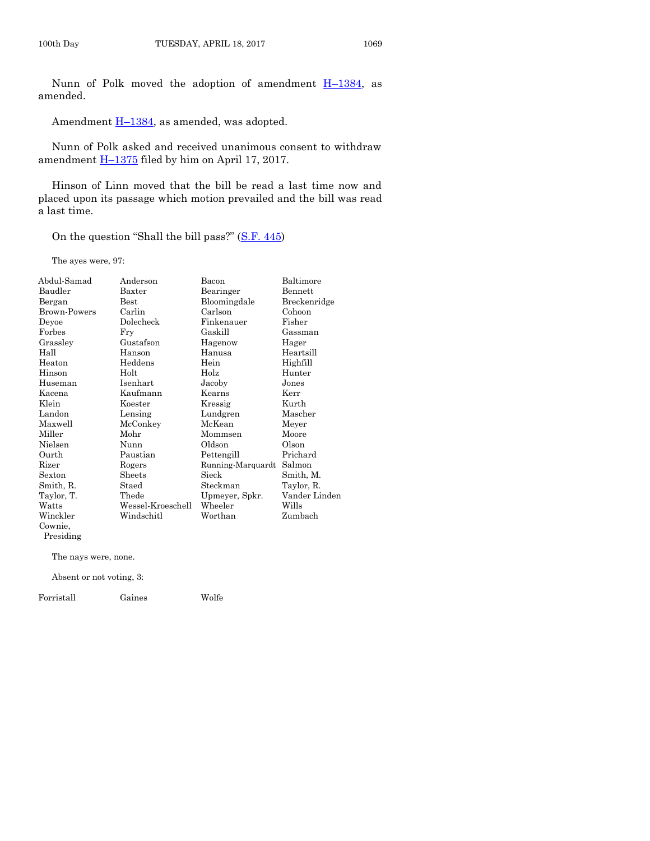Nunn of Polk moved the adoption of amendment  $H-1384$ , as amended.

Amendment  $H-1384$ , as amended, was adopted.

Nunn of Polk asked and received unanimous consent to withdraw amendment  $\underline{H-1375}$  $\underline{H-1375}$  $\underline{H-1375}$  filed by him on April 17, 2017.

Hinson of Linn moved that the bill be read a last time now and placed upon its passage which motion prevailed and the bill was read a last time.

On the question "Shall the bill pass?" ([S.F. 445\)](https://www.legis.iowa.gov/legislation/BillBook?ga=87&ba=SF445)

The ayes were, 97:

| Abdul-Samad  | Anderson          | Bacon             | Baltimore     |
|--------------|-------------------|-------------------|---------------|
| Baudler      | Baxter            | Bearinger         | Bennett       |
| Bergan       | <b>Best</b>       | Bloomingdale      | Breckenridge  |
| Brown-Powers | Carlin            | Carlson           | Cohoon        |
| Deyoe        | Dolecheck         | Finkenauer        | Fisher        |
| Forbes       | Fry               | Gaskill           | Gassman       |
| Grassley     | Gustafson         | Hagenow           | Hager         |
| Hall         | Hanson            | Hanusa            | Heartsill     |
| Heaton       | Heddens           | Hein              | Highfill      |
| Hinson       | Holt              | Holz              | Hunter        |
| Huseman      | Isenhart          | Jacoby            | Jones         |
| Kacena       | Kaufmann          | Kearns            | Kerr          |
| Klein        | Koester           | Kressig           | Kurth         |
| Landon       | Lensing           | Lundgren          | Mascher       |
| Maxwell      | McConkey          | McKean            | Meyer         |
| Miller       | Mohr              | Mommsen           | Moore         |
| Nielsen      | Nunn              | Oldson            | Olson         |
| Ourth        | Paustian          | Pettengill        | Prichard      |
| Rizer        | Rogers            | Running-Marquardt | Salmon        |
| Sexton       | Sheets            | Sieck             | Smith, M.     |
| Smith, R.    | Staed             | Steckman          | Taylor, R.    |
| Taylor, T.   | Thede             | Upmeyer, Spkr.    | Vander Linden |
| Watts        | Wessel-Kroeschell | Wheeler           | Wills         |
| Winckler     | Windschitl        | Worthan           | Zumbach       |
| Cownie,      |                   |                   |               |

Presiding

The nays were, none.

Absent or not voting, 3:

Forristall Gaines Wolfe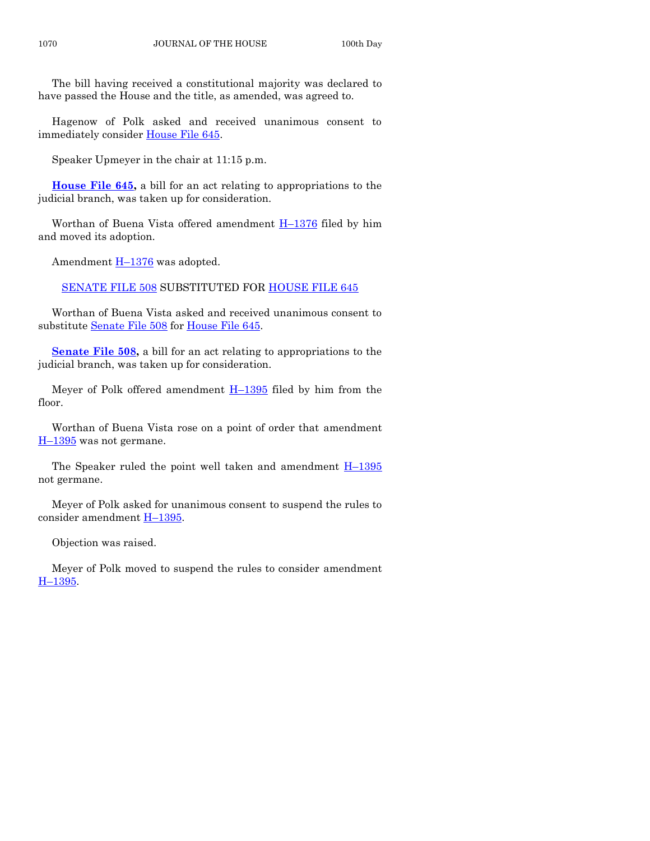The bill having received a constitutional majority was declared to have passed the House and the title, as amended, was agreed to.

Hagenow of Polk asked and received unanimous consent to immediately consider [House File 645.](https://www.legis.iowa.gov/legislation/BillBook?ga=87&ba=HF645)

Speaker Upmeyer in the chair at 11:15 p.m.

**[House File 645,](https://www.legis.iowa.gov/legislation/BillBook?ga=87&ba=HF645)** a bill for an act relating to appropriations to the judicial branch, was taken up for consideration.

Worthan of Buena Vista offered amendment H–[1376](https://www.legis.iowa.gov/legislation/BillBook?ga=87&ba=H1376) filed by him and moved its adoption.

Amendment  $H-1376$  $H-1376$  was adopted.

[SENATE FILE 508](https://www.legis.iowa.gov/legislation/BillBook?ga=87&ba=SF508) SUBSTITUTED FOR [HOUSE FILE 645](https://www.legis.iowa.gov/legislation/BillBook?ga=87&ba=HF645)

Worthan of Buena Vista asked and received unanimous consent to substitute [Senate File 508](https://www.legis.iowa.gov/legislation/BillBook?ga=87&ba=SF508) for [House File 645.](https://www.legis.iowa.gov/legislation/BillBook?ga=87&ba=HF645)

**Senate File 508**, a bill for an act relating to appropriations to the judicial branch, was taken up for consideration.

Meyer of Polk offered amendment  $H-1395$  $H-1395$  filed by him from the floor.

Worthan of Buena Vista rose on a point of order that amendment H-[1395](https://www.legis.iowa.gov/legislation/BillBook?ga=87&ba=H1395) was not germane.

The Speaker ruled the point well taken and amendment  $H-1395$  $H-1395$ not germane.

Meyer of Polk asked for unanimous consent to suspend the rules to consider amendment H-[1395.](https://www.legis.iowa.gov/legislation/BillBook?ga=87&ba=H1395)

Objection was raised.

Meyer of Polk moved to suspend the rules to consider amendment H–[1395.](https://www.legis.iowa.gov/legislation/BillBook?ga=87&ba=H1395)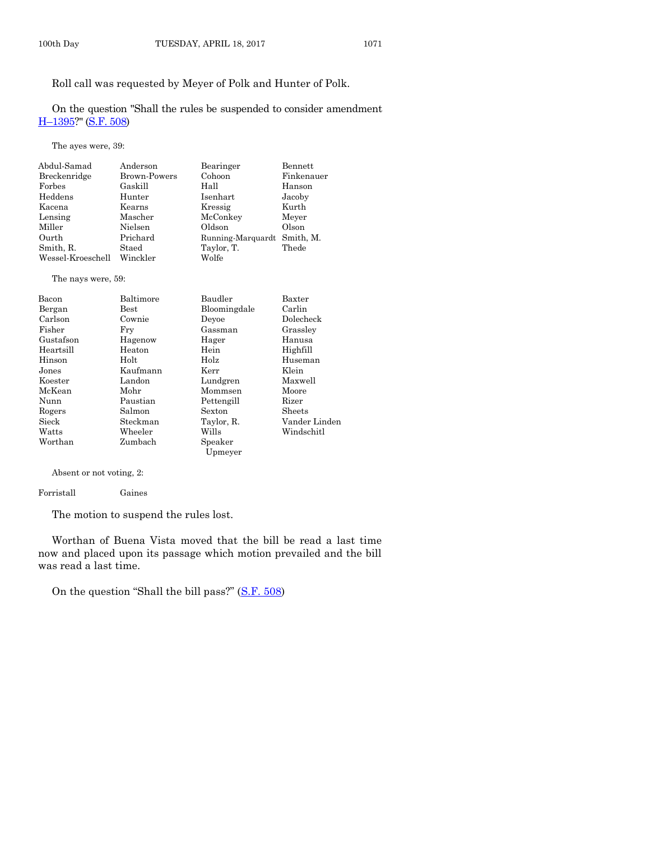Roll call was requested by Meyer of Polk and Hunter of Polk.

On the question "Shall the rules be suspended to consider amendment H–[1395?](https://www.legis.iowa.gov/legislation/BillBook?ga=87&ba=H1395)" [\(S.F. 508\)](https://www.legis.iowa.gov/legislation/BillBook?ga=87&ba=SF508)

The ayes were, 39:

| Abdul-Samad       | Anderson            | Bearinger                   | Bennett    |
|-------------------|---------------------|-----------------------------|------------|
| Breckenridge      | <b>Brown-Powers</b> | Cohoon                      | Finkenauer |
| Forbes            | Gaskill             | Hall                        | Hanson     |
| Heddens           | Hunter              | <b>Isenhart</b>             | Jacoby     |
| Kacena            | Kearns              | Kressig                     | Kurth      |
| Lensing           | Mascher             | McConkey                    | Meyer      |
| Miller            | Nielsen             | Oldson                      | Olson      |
| Ourth             | Prichard            | Running-Marquardt Smith, M. |            |
| Smith, R.         | Staed               | Taylor, T.                  | Thede      |
| Wessel-Kroeschell | Winckler            | Wolfe                       |            |

#### The nays were, 59:

| Bacon     | Baltimore | Baudler      | Baxter        |
|-----------|-----------|--------------|---------------|
| Bergan    | Best      | Bloomingdale | Carlin        |
| Carlson   | Cownie    | Devoe        | Dolecheck     |
| Fisher    | Fry       | Gassman      | Grassley      |
| Gustafson | Hagenow   | Hager        | Hanusa        |
| Heartsill | Heaton    | Hein         | Highfill      |
| Hinson    | Holt      | Holz         | Huseman       |
| Jones     | Kaufmann  | Kerr         | Klein         |
| Koester   | Landon    | Lundgren     | Maxwell       |
| McKean    | Mohr      | Mommsen      | Moore         |
| Nunn      | Paustian  | Pettengill   | Rizer         |
| Rogers    | Salmon    | Sexton       | Sheets        |
| Sieck     | Steckman  | Taylor, R.   | Vander Linden |
| Watts     | Wheeler   | Wills        | Windschitl    |
| Worthan   | Zumbach   | Speaker      |               |
|           |           | Upmeyer      |               |

Absent or not voting, 2:

Forristall Gaines

The motion to suspend the rules lost.

Worthan of Buena Vista moved that the bill be read a last time now and placed upon its passage which motion prevailed and the bill was read a last time.

On the question "Shall the bill pass?" ([S.F. 508\)](https://www.legis.iowa.gov/legislation/BillBook?ga=87&ba=SF508)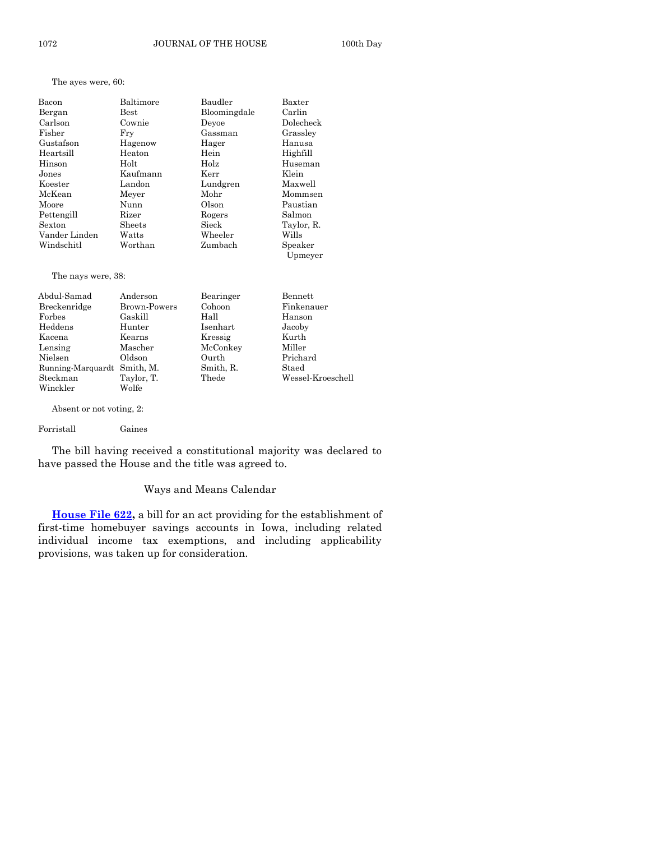The ayes were, 60:

| Bacon         | Baltimore | Baudler      | Baxter     |
|---------------|-----------|--------------|------------|
| Bergan        | Best      | Bloomingdale | Carlin     |
| Carlson       | Cownie    | Devoe        | Dolecheck  |
| Fisher        | Frv       | Gassman      | Grassley   |
| Gustafson     | Hagenow   | Hager        | Hanusa     |
| Heartsill     | Heaton    | Hein         | Highfill   |
| Hinson        | Holt      | Holz         | Huseman    |
| Jones         | Kaufmann  | Kerr         | Klein      |
| Koester       | Landon    | Lundgren     | Maxwell    |
| McKean        | Meyer     | Mohr         | Mommsen    |
| Moore         | Nunn      | Olson        | Paustian   |
| Pettengill    | Rizer     | Rogers       | Salmon     |
| Sexton        | Sheets    | Sieck        | Taylor, R. |
| Vander Linden | Watts     | Wheeler      | Wills      |
| Windschitl    | Worthan   | Zumbach      | Speaker    |
|               |           |              | Upmeyer    |

The nays were, 38:

| Abdul-Samad                 | Anderson     | Bearinger | Bennett           |
|-----------------------------|--------------|-----------|-------------------|
| Breckenridge                | Brown-Powers | Cohoon    | Finkenauer        |
| Forbes                      | Gaskill      | Hall      | Hanson            |
| Heddens                     | Hunter       | Isenhart  | Jacoby            |
| Kacena                      | Kearns       | Kressig   | Kurth             |
| Lensing                     | Mascher      | McConkey  | Miller            |
| Nielsen                     | Oldson       | Ourth     | Prichard          |
| Running-Marquardt Smith, M. |              | Smith, R. | Staed             |
| Steckman                    | Taylor, T.   | Thede     | Wessel-Kroeschell |
| Winckler                    | Wolfe        |           |                   |

Absent or not voting, 2:

Forristall Gaines

The bill having received a constitutional majority was declared to have passed the House and the title was agreed to.

#### Ways and Means Calendar

**[House File 622,](https://www.legis.iowa.gov/legislation/BillBook?ga=87&ba=HF622)** a bill for an act providing for the establishment of first-time homebuyer savings accounts in Iowa, including related individual income tax exemptions, and including applicability provisions, was taken up for consideration.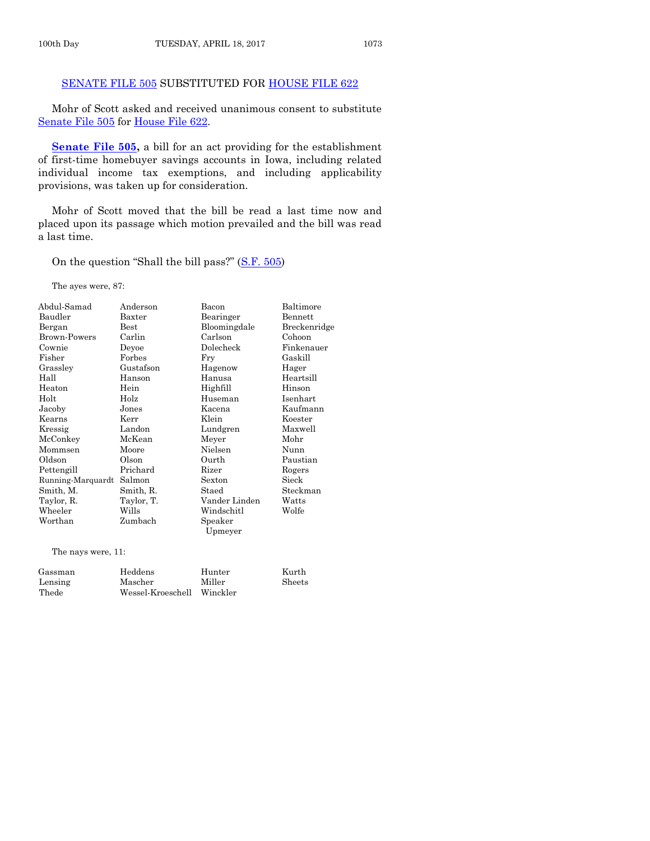#### [SENATE FILE 505](https://www.legis.iowa.gov/legislation/BillBook?ga=87&ba=SF505) SUBSTITUTED FOR [HOUSE FILE 622](https://www.legis.iowa.gov/legislation/BillBook?ga=87&ba=HF622)

Mohr of Scott asked and received unanimous consent to substitute [Senate File 505](https://www.legis.iowa.gov/legislation/BillBook?ga=87&ba=SF505) for [House File 622.](https://www.legis.iowa.gov/legislation/BillBook?ga=87&ba=HF622)

**[Senate File 505,](https://www.legis.iowa.gov/legislation/BillBook?ga=87&ba=SF505)** a bill for an act providing for the establishment of first-time homebuyer savings accounts in Iowa, including related individual income tax exemptions, and including applicability provisions, was taken up for consideration.

Mohr of Scott moved that the bill be read a last time now and placed upon its passage which motion prevailed and the bill was read a last time.

On the question "Shall the bill pass?" ([S.F. 505\)](https://www.legis.iowa.gov/legislation/BillBook?ga=87&ba=SF505)

The ayes were, 87:

| Abdul-Samad       | Anderson      | Bacon         | Baltimore    |
|-------------------|---------------|---------------|--------------|
| Baudler           | Baxter        | Bearinger     | Bennett      |
| Bergan            | $_{\rm Best}$ | Bloomingdale  | Breckenridge |
| Brown-Powers      | Carlin        | Carlson       | Cohoon       |
| Cownie            | Deyoe         | Dolecheck     | Finkenauer   |
| Fisher            | Forbes        | Fry           | Gaskill      |
| Grassley          | Gustafson     | Hagenow       | Hager        |
| Hall              | Hanson        | Hanusa        | Heartsill    |
| Heaton            | Hein          | Highfill      | Hinson       |
| Holt              | Holz          | Huseman       | Isenhart     |
| Jacoby            | Jones         | Kacena        | Kaufmann     |
| Kearns            | Kerr          | Klein         | Koester      |
| Kressig           | Landon        | Lundgren      | Maxwell      |
| McConkey          | McKean        | Meyer         | Mohr         |
| Mommsen           | Moore         | Nielsen       | Nunn         |
| Oldson            | Olson         | Ourth         | Paustian     |
| Pettengill        | Prichard      | Rizer         | Rogers       |
| Running-Marquardt | Salmon        | Sexton        | Sieck        |
| Smith, M.         | Smith, R.     | Staed         | Steckman     |
| Taylor, R.        | Taylor, T.    | Vander Linden | Watts        |
| Wheeler           | Wills         | Windschitl    | Wolfe        |
| Worthan           | Zumbach       | Speaker       |              |
|                   |               | Upmeyer       |              |

The nays were, 11:

| Gassman | Heddens                    | Hunter | Kurth         |
|---------|----------------------------|--------|---------------|
| Lensing | Mascher                    | Miller | <b>Sheets</b> |
| Thede   | Wessel-Kroeschell Winckler |        |               |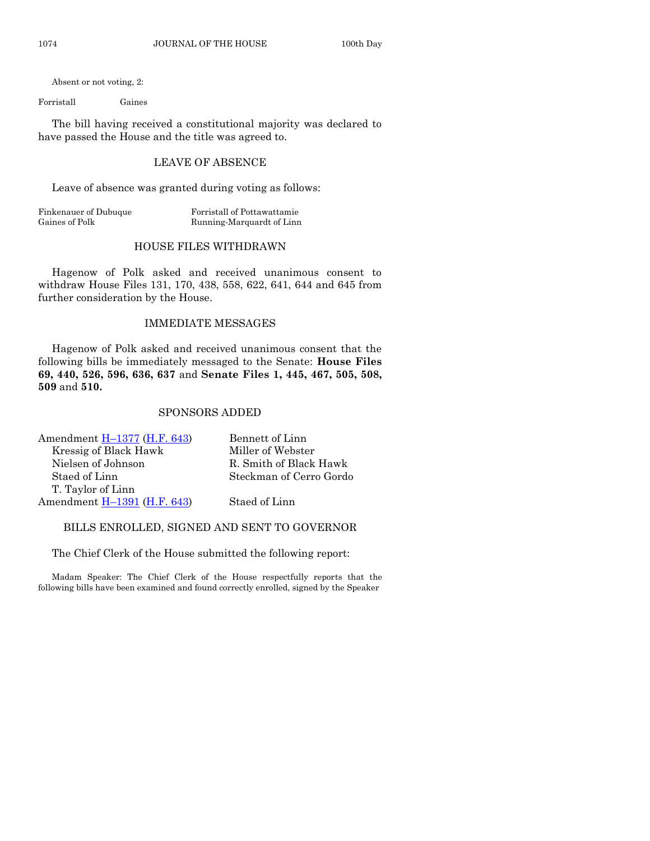Absent or not voting, 2:

Forristall Gaines

The bill having received a constitutional majority was declared to have passed the House and the title was agreed to.

#### LEAVE OF ABSENCE

Leave of absence was granted during voting as follows:

Finkenauer of Dubuque Forristall of Pottawattamie Gaines of Polk Running-Marquardt of Linn

#### HOUSE FILES WITHDRAWN

Hagenow of Polk asked and received unanimous consent to withdraw House Files 131, 170, 438, 558, 622, 641, 644 and 645 from further consideration by the House.

#### IMMEDIATE MESSAGES

Hagenow of Polk asked and received unanimous consent that the following bills be immediately messaged to the Senate: **House Files 69, 440, 526, 596, 636, 637** and **Senate Files 1, 445, 467, 505, 508, 509** and **510.**

#### SPONSORS ADDED

| Bennett of Linn         |
|-------------------------|
| Miller of Webster       |
| R. Smith of Black Hawk  |
| Steckman of Cerro Gordo |
|                         |
| Staed of Linn           |
|                         |

#### BILLS ENROLLED, SIGNED AND SENT TO GOVERNOR

The Chief Clerk of the House submitted the following report:

Madam Speaker: The Chief Clerk of the House respectfully reports that the following bills have been examined and found correctly enrolled, signed by the Speaker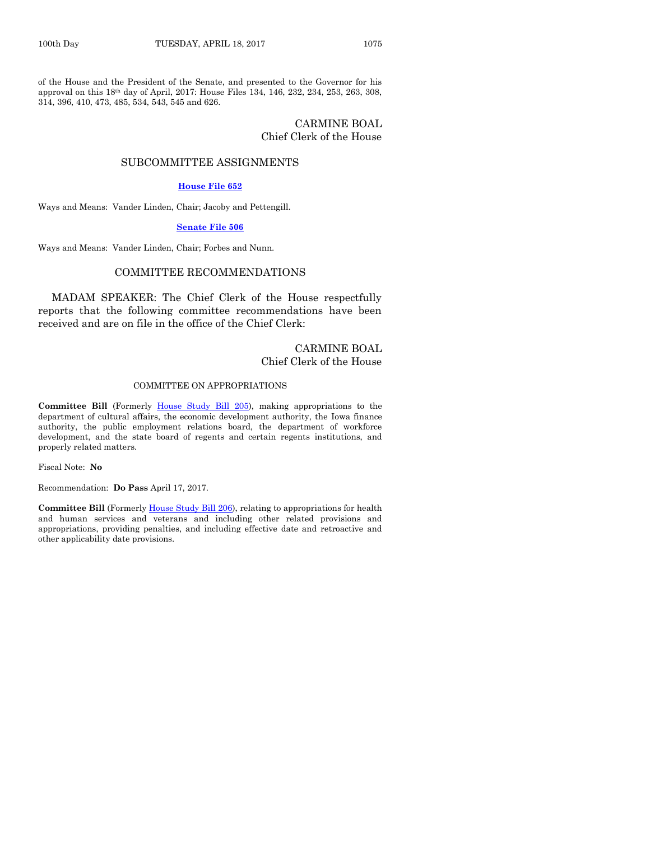of the House and the President of the Senate, and presented to the Governor for his approval on this 18th day of April, 2017: House Files 134, 146, 232, 234, 253, 263, 308, 314, 396, 410, 473, 485, 534, 543, 545 and 626.

#### CARMINE BOAL Chief Clerk of the House

#### SUBCOMMITTEE ASSIGNMENTS

#### **[House File 652](https://www.legis.iowa.gov/legislation/BillBook?ga=87&ba=HF652)**

Ways and Means: Vander Linden, Chair; Jacoby and Pettengill.

#### **[Senate File 506](https://www.legis.iowa.gov/legislation/BillBook?ga=87&ba=SF506)**

Ways and Means: Vander Linden, Chair; Forbes and Nunn.

#### COMMITTEE RECOMMENDATIONS

MADAM SPEAKER: The Chief Clerk of the House respectfully reports that the following committee recommendations have been received and are on file in the office of the Chief Clerk:

#### CARMINE BOAL Chief Clerk of the House

#### COMMITTEE ON APPROPRIATIONS

**Committee Bill** (Formerly [House Study Bill 205\)](https://www.legis.iowa.gov/legislation/BillBook?ga=87&ba=HSB205), making appropriations to the department of cultural affairs, the economic development authority, the Iowa finance authority, the public employment relations board, the department of workforce development, and the state board of regents and certain regents institutions, and properly related matters.

Fiscal Note: **No**

Recommendation: **Do Pass** April 17, 2017.

**Committee Bill** (Formerl[y House Study Bill 206\)](https://www.legis.iowa.gov/legislation/BillBook?ga=87&ba=HSB206), relating to appropriations for health and human services and veterans and including other related provisions and appropriations, providing penalties, and including effective date and retroactive and other applicability date provisions.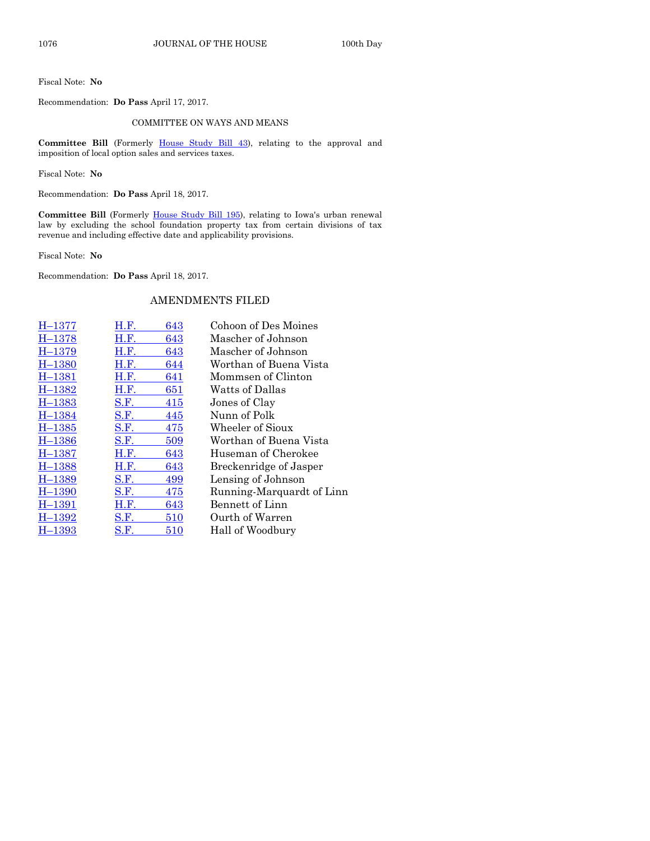Fiscal Note: **No**

Recommendation: **Do Pass** April 17, 2017.

#### COMMITTEE ON WAYS AND MEANS

Committee Bill (Formerly [House Study Bill 43\)](https://www.legis.iowa.gov/legislation/BillBook?ga=87&ba=HSB43), relating to the approval and imposition of local option sales and services taxes.

Fiscal Note: **No**

Recommendation: **Do Pass** April 18, 2017.

Committee Bill (Formerly [House Study Bill 195\)](https://www.legis.iowa.gov/legislation/BillBook?ga=87&ba=HSB195), relating to Iowa's urban renewal law by excluding the school foundation property tax from certain divisions of tax revenue and including effective date and applicability provisions.

Fiscal Note: **No**

Recommendation: **Do Pass** April 18, 2017.

#### AMENDMENTS FILED

| $n-1311$   | п.г.        | 643 |
|------------|-------------|-----|
| $H - 1378$ | H.F.        | 643 |
| $H - 1379$ | <b>H.F.</b> | 643 |
| $H - 1380$ | H.F.        | 644 |
| $H - 1381$ | <b>H.F.</b> | 641 |
| $H - 1382$ | H.F.        | 651 |
| $H - 1383$ | <b>S.F.</b> | 415 |
| H-1384     | S.F.        | 445 |
| $H - 1385$ | S.F.        | 475 |
| $H - 1386$ | S.F.        | 509 |
| $H - 1387$ | H.F.        | 643 |
| $H-1388$   | H.F.        | 643 |
| $H-1389$   | S.F.        | 499 |
| $H - 1390$ | S.F.        | 475 |
| $H - 1391$ | H.F.        | 643 |
| $H - 1392$ | <b>S.F.</b> | 510 |
| H-1393     | S.F.        | 510 |

H–[1377](https://www.legis.iowa.gov/legislation/BillBook?ga=87&ba=H1377) [H.F.](https://www.legis.iowa.gov/legislation/BillBook?ga=87&ba=HF643) 643 Cohoon of Des Moines Mascher of Johnson Mascher of Johnson Worthan of Buena Vista Mommsen of Clinton Watts of Dallas Jones of Clay Nunn of Polk Wheeler of Sioux Worthan of Buena Vista Huseman of Cherokee Breckenridge of Jasper Lensing of Johnson Running-Marquardt of Linn Bennett of Linn Ourth of Warren Hall of Woodbury